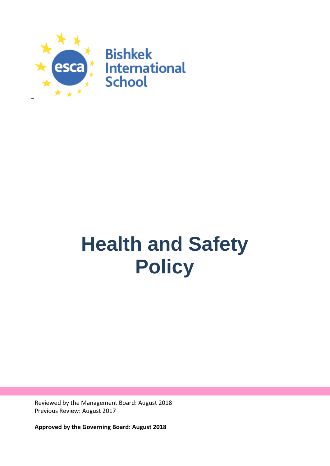

# **Health and Safety Policy**

Reviewed by the Management Board: August 2018 Previous Review: August 2017

**Approved by the Governing Board: August 2018**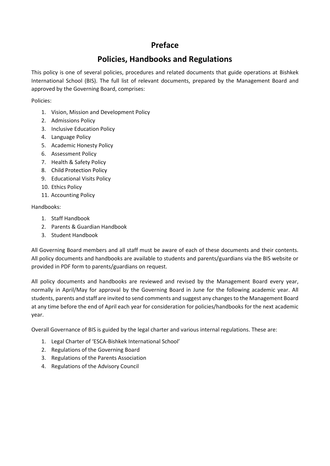## **Preface**

## **Policies, Handbooks and Regulations**

This policy is one of several policies, procedures and related documents that guide operations at Bishkek International School (BIS). The full list of relevant documents, prepared by the Management Board and approved by the Governing Board, comprises:

Policies:

- 1. Vision, Mission and Development Policy
- 2. Admissions Policy
- 3. Inclusive Education Policy
- 4. Language Policy
- 5. Academic Honesty Policy
- 6. Assessment Policy
- 7. Health & Safety Policy
- 8. Child Protection Policy
- 9. Educational Visits Policy
- 10. Ethics Policy
- 11. Accounting Policy

Handbooks:

- 1. Staff Handbook
- 2. Parents & Guardian Handbook
- 3. Student Handbook

All Governing Board members and all staff must be aware of each of these documents and their contents. All policy documents and handbooks are available to students and parents/guardians via the BIS website or provided in PDF form to parents/guardians on request.

All policy documents and handbooks are reviewed and revised by the Management Board every year, normally in April/May for approval by the Governing Board in June for the following academic year. All students, parents and staff are invited to send comments and suggest any changes to the Management Board at any time before the end of April each year for consideration for policies/handbooks for the next academic year.

Overall Governance of BIS is guided by the legal charter and various internal regulations. These are:

- 1. Legal Charter of 'ESCA-Bishkek International School'
- 2. Regulations of the Governing Board
- 3. Regulations of the Parents Association
- 4. Regulations of the Advisory Council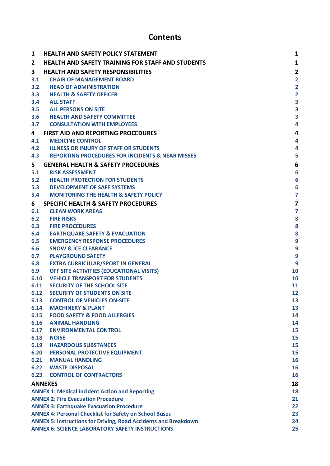## **Contents**

| 1              | <b>HEALTH AND SAFETY POLICY STATEMENT</b>                                    | 1                       |  |  |
|----------------|------------------------------------------------------------------------------|-------------------------|--|--|
| $\overline{2}$ | <b>HEALTH AND SAFETY TRAINING FOR STAFF AND STUDENTS</b>                     | 1                       |  |  |
| 3              | <b>HEALTH AND SAFETY RESPONSIBILITIES</b>                                    | $\overline{\mathbf{c}}$ |  |  |
| 3.1            | <b>CHAIR OF MANAGEMENT BOARD</b>                                             | 2                       |  |  |
| 3.2            | <b>HEAD OF ADMINISTRATION</b>                                                | $\overline{\mathbf{c}}$ |  |  |
| 3.3            | <b>HEALTH &amp; SAFETY OFFICER</b>                                           | $\overline{\mathbf{c}}$ |  |  |
| 3.4            | <b>ALL STAFF</b>                                                             | 3                       |  |  |
| 3.5            | <b>ALL PERSONS ON SITE</b>                                                   | 3                       |  |  |
| 3.6            | <b>HEALTH AND SAFETY COMMITTEE</b>                                           | 3                       |  |  |
| 3.7            | <b>CONSULTATION WITH EMPLOYEES</b>                                           | 4                       |  |  |
| 4              | FIRST AID AND REPORTING PROCEDURES                                           | 4                       |  |  |
| 4.1            | <b>MEDICINE CONTROL</b>                                                      | 4                       |  |  |
| 4.2            | <b>ILLNESS OR INJURY OF STAFF OR STUDENTS</b>                                | 4                       |  |  |
| 4.3            | <b>REPORTING PROCEDURES FOR INCIDENTS &amp; NEAR MISSES</b>                  | 5                       |  |  |
| 5.             | <b>GENERAL HEALTH &amp; SAFETY PROCEDURES</b>                                | 6                       |  |  |
| 5.1            | <b>RISK ASSESSMENT</b>                                                       | 6                       |  |  |
| 5.2            | <b>HEALTH PROTECTION FOR STUDENTS</b>                                        | 6                       |  |  |
| 5.3            | <b>DEVELOPMENT OF SAFE SYSTEMS</b>                                           | 6                       |  |  |
| 5.4            | <b>MONITORING THE HEALTH &amp; SAFETY POLICY</b>                             | 7                       |  |  |
| 6              | <b>SPECIFIC HEALTH &amp; SAFETY PROCEDURES</b>                               | 7                       |  |  |
| 6.1            | <b>CLEAN WORK AREAS</b>                                                      | 7                       |  |  |
| 6.2            | <b>FIRE RISKS</b>                                                            | 8                       |  |  |
| 6.3            | <b>FIRE PROCEDURES</b>                                                       | 8                       |  |  |
| 6.4            | <b>EARTHQUAKE SAFETY &amp; EVACUATION</b>                                    | 8                       |  |  |
| 6.5            | <b>EMERGENCY RESPONSE PROCEDURES</b>                                         | 9                       |  |  |
| 6.6            | <b>SNOW &amp; ICE CLEARANCE</b>                                              | 9                       |  |  |
| 6.7            | <b>PLAYGROUND SAFETY</b>                                                     | 9                       |  |  |
| 6.8            | <b>EXTRA CURRICULAR/SPORT IN GENERAL</b>                                     | 9                       |  |  |
| 6.9            | OFF SITE ACTIVITIES (EDUCATIONAL VISITS)                                     | 10                      |  |  |
| 6.10           | <b>VEHICLE TRANSPORT FOR STUDENTS</b>                                        | 10                      |  |  |
| 6.11           | SECURITY OF THE SCHOOL SITE                                                  | 11                      |  |  |
| 6.12           | <b>SECURITY OF STUDENTS ON SITE</b>                                          | 12                      |  |  |
| 6.13           | <b>CONTROL OF VEHICLES ON-SITE</b>                                           | 13                      |  |  |
| 6.14           | <b>MACHINERY &amp; PLANT</b>                                                 | 13                      |  |  |
| 6.15           | <b>FOOD SAFETY &amp; FOOD ALLERGIES</b>                                      | 14                      |  |  |
| 6.16           | <b>ANIMAL HANDLING</b>                                                       | 14                      |  |  |
| 6.17           | <b>ENVIRONMENTAL CONTROL</b>                                                 | 15                      |  |  |
| 6.18           | <b>NOISE</b>                                                                 | 15                      |  |  |
| 6.19           | <b>HAZARDOUS SUBSTANCES</b>                                                  | 15                      |  |  |
| 6.20           | PERSONAL PROTECTIVE EQUIPMENT                                                | 15                      |  |  |
| 6.21           | <b>MANUAL HANDLING</b>                                                       | 16                      |  |  |
| 6.22           | <b>WASTE DISPOSAL</b>                                                        | 16                      |  |  |
| 6.23           | <b>CONTROL OF CONTRACTORS</b>                                                | 16                      |  |  |
|                | <b>ANNEXES</b>                                                               | 18                      |  |  |
|                | <b>ANNEX 1: Medical Incident Action and Reporting</b>                        | 18                      |  |  |
|                | <b>ANNEX 2: Fire Evacuation Procedure</b><br>21                              |                         |  |  |
|                | <b>ANNEX 3: Earthquake Evacuation Procedure</b><br>22                        |                         |  |  |
|                | <b>ANNEX 4: Personal Checklist for Safety on School Buses</b>                | 23                      |  |  |
|                | <b>ANNEX 5: Instructions for Driving, Road Accidents and Breakdown</b><br>24 |                         |  |  |
|                | <b>ANNEX 6: SCIENCE LABORATORY SAFETY INSTRUCTIONS</b><br>25                 |                         |  |  |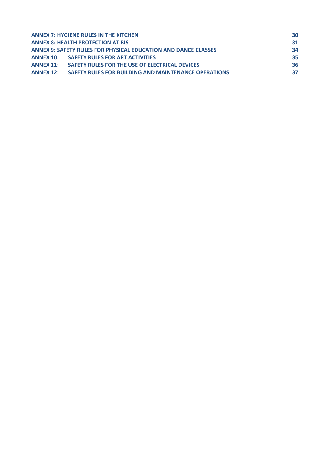| <b>ANNEX 7: HYGIENE RULES IN THE KITCHEN</b>                          | 30 |
|-----------------------------------------------------------------------|----|
| <b>ANNEX 8: HEALTH PROTECTION AT BIS</b>                              | 31 |
| <b>ANNEX 9: SAFETY RULES FOR PHYSICAL EDUCATION AND DANCE CLASSES</b> | 34 |
| <b>ANNEX 10: SAFETY RULES FOR ART ACTIVITIES</b>                      | 35 |
| <b>ANNEX 11: SAFETY RULES FOR THE USE OF ELECTRICAL DEVICES</b>       | 36 |
| ANNEX 12: SAFETY RULES FOR BUILDING AND MAINTENANCE OPERATIONS        | 37 |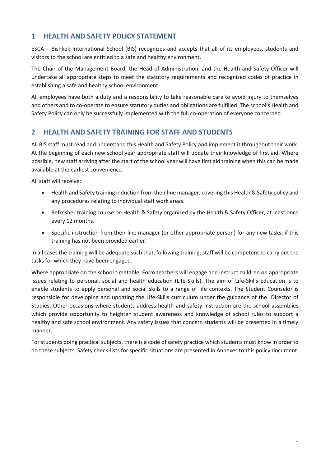## <span id="page-4-0"></span>**1 HEALTH AND SAFETY POLICY STATEMENT**

ESCA – Bishkek International School (BIS) recognizes and accepts that all of its employees, students and visitors to the school are entitled to a safe and healthy environment.

The Chair of the Management Board, the Head of Administration, and the Health and Safety Officer will undertake all appropriate steps to meet the statutory requirements and recognized codes of practice in establishing a safe and healthy school environment.

All employees have both a duty and a responsibility to take reasonable care to avoid injury to themselves and others and to co-operate to ensure statutory duties and obligations are fulfilled. The school's Health and Safety Policy can only be successfully implemented with the full co-operation of everyone concerned.

## <span id="page-4-1"></span>**2 HEALTH AND SAFETY TRAINING FOR STAFF AND STUDENTS**

All BIS staff must read and understand this Health and Safety Policy and implement it throughout their work. At the beginning of each new school year appropriate staff will update their knowledge of first aid. Where possible, new staff arriving after the start of the school year will have first aid training when this can be made available at the earliest convenience.

All staff will receive:

- Health and Safety training induction from their line manager, covering this Health & Safety policy and any procedures relating to individual staff work areas.
- Refresher training course on Health & Safety organized by the Health & Safety Officer, at least once every 12 months.
- Specific instruction from their line manager (or other appropriate person) for any new tasks, if this training has not been provided earlier.

In all cases the training will be adequate such that, following training; staff will be competent to carry out the tasks for which they have been engaged.

Where appropriate on the school timetable, Form teachers will engage and instruct children on appropriate issues relating to personal, social and health education (Life-Skills). The aim of Life-Skills Education is to enable students to apply personal and social skills to a range of life contexts. The Student Counselor is responsible for developing and updating the Life-Skills curriculum under the guidance of the Director of Studies. Other occasions where students address health and safety instruction are the school assemblies which provide opportunity to heighten student awareness and knowledge of school rules to support a healthy and safe school environment. Any safety issues that concern students will be presented in a timely manner.

For students doing practical subjects, there is a code of safety practice which students must know in order to do these subjects. Safety check-lists for specific situations are presented in Annexes to this policy document.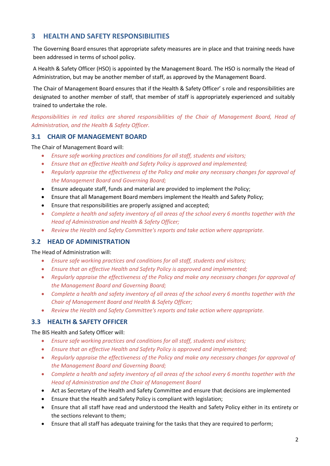## <span id="page-5-0"></span>**3 HEALTH AND SAFETY RESPONSIBILITIES**

The Governing Board ensures that appropriate safety measures are in place and that training needs have been addressed in terms of school policy.

A Health & Safety Officer (HSO) is appointed by the Management Board. The HSO is normally the Head of Administration, but may be another member of staff, as approved by the Management Board.

The Chair of Management Board ensures that if the Health & Safety Officer' s role and responsibilities are designated to another member of staff, that member of staff is appropriately experienced and suitably trained to undertake the role.

*Responsibilities in red italics are shared responsibilities of the Chair of Management Board, Head of Administration, and the Health & Safety Officer.*

## <span id="page-5-1"></span>**3.1 CHAIR OF MANAGEMENT BOARD**

The Chair of Management Board will:

- *Ensure safe working practices and conditions for all staff, students and visitors;*
- *Ensure that an effective Health and Safety Policy is approved and implemented;*
- *Regularly appraise the effectiveness of the Policy and make any necessary changes for approval of the Management Board and Governing Board;*
- Ensure adequate staff, funds and material are provided to implement the Policy;
- Ensure that all Management Board members implement the Health and Safety Policy;
- Ensure that responsibilities are properly assigned and accepted;
- *Complete a health and safety inventory of all areas of the school every 6 months together with the Head of Administration and Health & Safety Officer;*
- *Review the Health and Safety Committee's reports and take action where appropriate.*

## <span id="page-5-2"></span>**3.2 HEAD OF ADMINISTRATION**

The Head of Administration will:

- *Ensure safe working practices and conditions for all staff, students and visitors;*
- *Ensure that an effective Health and Safety Policy is approved and implemented;*
- *Regularly appraise the effectiveness of the Policy and make any necessary changes for approval of the Management Board and Governing Board;*
- *Complete a health and safety inventory of all areas of the school every 6 months together with the Chair of Management Board and Health & Safety Officer;*
- *Review the Health and Safety Committee's reports and take action where appropriate.*

## <span id="page-5-3"></span>**3.3 HEALTH & SAFETY OFFICER**

The BIS Health and Safety Officer will:

- *Ensure safe working practices and conditions for all staff, students and visitors;*
- *Ensure that an effective Health and Safety Policy is approved and implemented;*
- *Regularly appraise the effectiveness of the Policy and make any necessary changes for approval of the Management Board and Governing Board;*
- *Complete a health and safety inventory of all areas of the school every 6 months together with the Head of Administration and the Chair of Management Board*
- Act as Secretary of the Health and Safety Committee and ensure that decisions are implemented
- Ensure that the Health and Safety Policy is compliant with legislation;
- Ensure that all staff have read and understood the Health and Safety Policy either in its entirety or the sections relevant to them;
- Ensure that all staff has adequate training for the tasks that they are required to perform;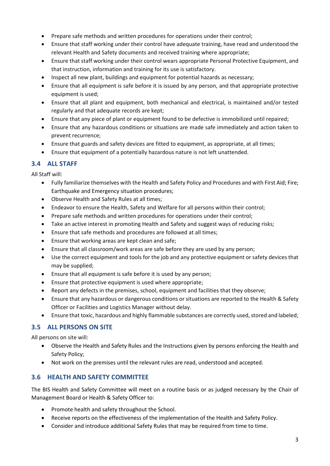- Prepare safe methods and written procedures for operations under their control;
- Ensure that staff working under their control have adequate training, have read and understood the relevant Health and Safety documents and received training where appropriate;
- Ensure that staff working under their control wears appropriate Personal Protective Equipment, and that instruction, information and training for its use is satisfactory.
- Inspect all new plant, buildings and equipment for potential hazards as necessary;
- Ensure that all equipment is safe before it is issued by any person, and that appropriate protective equipment is used;
- Ensure that all plant and equipment, both mechanical and electrical, is maintained and/or tested regularly and that adequate records are kept;
- Ensure that any piece of plant or equipment found to be defective is immobilized until repaired;
- Ensure that any hazardous conditions or situations are made safe immediately and action taken to prevent recurrence;
- Ensure that guards and safety devices are fitted to equipment, as appropriate, at all times;
- Ensure that equipment of a potentially hazardous nature is not left unattended.

## <span id="page-6-0"></span>**3.4 ALL STAFF**

All Staff will:

- Fully familiarize themselves with the Health and Safety Policy and Procedures and with First Aid; Fire; Earthquake and Emergency situation procedures;
- Observe Health and Safety Rules at all times;
- Endeavor to ensure the Health, Safety and Welfare for all persons within their control;
- Prepare safe methods and written procedures for operations under their control;
- Take an active interest in promoting Health and Safety and suggest ways of reducing risks;
- Ensure that safe methods and procedures are followed at all times;
- Ensure that working areas are kept clean and safe;
- Ensure that all classroom/work areas are safe before they are used by any person;
- Use the correct equipment and tools for the job and any protective equipment or safety devices that may be supplied;
- Ensure that all equipment is safe before it is used by any person;
- Ensure that protective equipment is used where appropriate;
- Report any defects in the premises, school, equipment and facilities that they observe;
- Ensure that any hazardous or dangerous conditions or situations are reported to the Health & Safety Officer or Facilities and Logistics Manager without delay.
- Ensure that toxic, hazardous and highly flammable substances are correctly used, stored and labeled;

## <span id="page-6-1"></span>**3.5 ALL PERSONS ON SITE**

All persons on site will:

- Observe the Health and Safety Rules and the Instructions given by persons enforcing the Health and Safety Policy;
- Not work on the premises until the relevant rules are read, understood and accepted.

## <span id="page-6-2"></span>**3.6 HEALTH AND SAFETY COMMITTEE**

The BIS Health and Safety Committee will meet on a routine basis or as judged necessary by the Chair of Management Board or Health & Safety Officer to:

- Promote health and safety throughout the School.
- Receive reports on the effectiveness of the implementation of the Health and Safety Policy.
- Consider and introduce additional Safety Rules that may be required from time to time.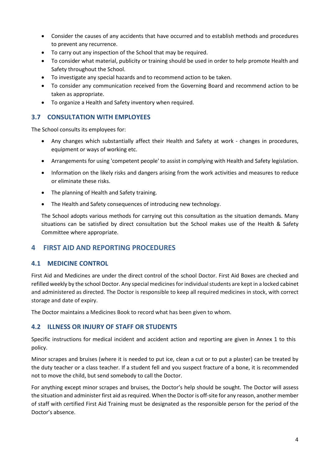- Consider the causes of any accidents that have occurred and to establish methods and procedures to prevent any recurrence.
- To carry out any inspection of the School that may be required.
- To consider what material, publicity or training should be used in order to help promote Health and Safety throughout the School.
- To investigate any special hazards and to recommend action to be taken.
- To consider any communication received from the Governing Board and recommend action to be taken as appropriate.
- To organize a Health and Safety inventory when required.

## <span id="page-7-0"></span>**3.7 CONSULTATION WITH EMPLOYEES**

The School consults its employees for:

- Any changes which substantially affect their Health and Safety at work changes in procedures, equipment or ways of working etc.
- Arrangements for using 'competent people' to assist in complying with Health and Safety legislation.
- Information on the likely risks and dangers arising from the work activities and measures to reduce or eliminate these risks.
- The planning of Health and Safety training.
- The Health and Safety consequences of introducing new technology.

The School adopts various methods for carrying out this consultation as the situation demands. Many situations can be satisfied by direct consultation but the School makes use of the Health & Safety Committee where appropriate.

## <span id="page-7-1"></span>**4 FIRST AID AND REPORTING PROCEDURES**

## <span id="page-7-2"></span>**4.1 MEDICINE CONTROL**

First Aid and Medicines are under the direct control of the school Doctor. First Aid Boxes are checked and refilled weekly by the school Doctor. Any special medicines for individual students are kept in a locked cabinet and administered as directed. The Doctor is responsible to keep all required medicines in stock, with correct storage and date of expiry.

The Doctor maintains a Medicines Book to record what has been given to whom.

## <span id="page-7-3"></span>**4.2 ILLNESS OR INJURY OF STAFF OR STUDENTS**

Specific instructions for medical incident and accident action and reporting are given in Annex 1 to this policy.

Minor scrapes and bruises (where it is needed to put ice, clean a cut or to put a plaster) can be treated by the duty teacher or a class teacher. If a student fell and you suspect fracture of a bone, it is recommended not to move the child, but send somebody to call the Doctor.

For anything except minor scrapes and bruises, the Doctor's help should be sought. The Doctor will assess the situation and administer first aid as required. When the Doctor is off-site for any reason, another member of staff with certified First Aid Training must be designated as the responsible person for the period of the Doctor's absence.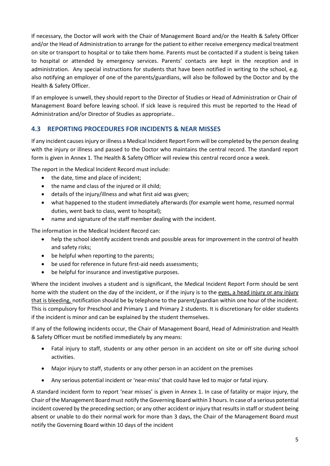If necessary, the Doctor will work with the Chair of Management Board and/or the Health & Safety Officer and/or the Head of Administration to arrange for the patient to either receive emergency medical treatment on site or transport to hospital or to take them home. Parents must be contacted if a student is being taken to hospital or attended by emergency services. Parents' contacts are kept in the reception and in administration. Any special instructions for students that have been notified in writing to the school, e.g. also notifying an employer of one of the parents/guardians, will also be followed by the Doctor and by the Health & Safety Officer.

If an employee is unwell, they should report to the Director of Studies or Head of Administration or Chair of Management Board before leaving school. If sick leave is required this must be reported to the Head of Administration and/or Director of Studies as appropriate..

## <span id="page-8-0"></span>**4.3 REPORTING PROCEDURES FOR INCIDENTS & NEAR MISSES**

If any incident causes injury or illness a Medical Incident Report Form will be completed by the person dealing with the injury or illness and passed to the Doctor who maintains the central record. The standard report form is given in Annex 1. The Health & Safety Officer will review this central record once a week.

The report in the Medical Incident Record must include:

- the date, time and place of incident;
- the name and class of the injured or ill child;
- details of the injury/illness and what first aid was given;
- what happened to the student immediately afterwards (for example went home, resumed normal duties, went back to class, went to hospital);
- name and signature of the staff member dealing with the incident.

The information in the Medical Incident Record can:

- help the school identify accident trends and possible areas for improvement in the control of health and safety risks;
- be helpful when reporting to the parents;
- be used for reference in future first-aid needs assessments;
- be helpful for insurance and investigative purposes.

Where the incident involves a student and is significant, the Medical Incident Report Form should be sent home with the student on the day of the incident, or if the injury is to the eyes, a head injury or any injury that is bleeding, notification should be by telephone to the parent/guardian within one hour of the incident. This is compulsory for Preschool and Primary 1 and Primary 2 students. It is discretionary for older students if the incident is minor and can be explained by the student themselves.

If any of the following incidents occur, the Chair of Management Board, Head of Administration and Health & Safety Officer must be notified immediately by any means:

- Fatal injury to staff, students or any other person in an accident on site or off site during school activities.
- Major injury to staff, students or any other person in an accident on the premises
- Any serious potential incident or 'near-miss' that could have led to major or fatal injury.

A standard incident form to report 'near misses' is given in Annex 1. In case of fatality or major injury, the Chair of the Management Board must notify the Governing Board within 3 hours. In case of a serious potential incident covered by the preceding section; or any other accident or injury that results in staff or student being absent or unable to do their normal work for more than 3 days, the Chair of the Management Board must notify the Governing Board within 10 days of the incident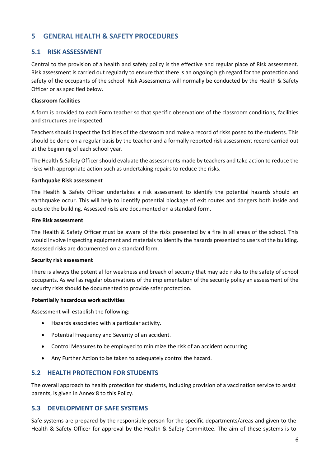## <span id="page-9-0"></span>**5 GENERAL HEALTH & SAFETY PROCEDURES**

## <span id="page-9-1"></span>**5.1 RISK ASSESSMENT**

Central to the provision of a health and safety policy is the effective and regular place of Risk assessment. Risk assessment is carried out regularly to ensure that there is an ongoing high regard for the protection and safety of the occupants of the school. Risk Assessments will normally be conducted by the Health & Safety Officer or as specified below.

#### **Classroom facilities**

A form is provided to each Form teacher so that specific observations of the classroom conditions, facilities and structures are inspected.

Teachers should inspect the facilities of the classroom and make a record of risks posed to the students. This should be done on a regular basis by the teacher and a formally reported risk assessment record carried out at the beginning of each school year.

The Health & Safety Officer should evaluate the assessments made by teachers and take action to reduce the risks with appropriate action such as undertaking repairs to reduce the risks.

#### **Earthquake Risk assessment**

The Health & Safety Officer undertakes a risk assessment to identify the potential hazards should an earthquake occur. This will help to identify potential blockage of exit routes and dangers both inside and outside the building. Assessed risks are documented on a standard form.

#### **Fire Risk assessment**

The Health & Safety Officer must be aware of the risks presented by a fire in all areas of the school. This would involve inspecting equipment and materials to identify the hazards presented to users of the building. Assessed risks are documented on a standard form.

#### **Security risk assessment**

There is always the potential for weakness and breach of security that may add risks to the safety of school occupants. As well as regular observations of the implementation of the security policy an assessment of the security risks should be documented to provide safer protection.

#### **Potentially hazardous work activities**

Assessment will establish the following:

- Hazards associated with a particular activity.
- Potential Frequency and Severity of an accident.
- Control Measures to be employed to minimize the risk of an accident occurring
- Any Further Action to be taken to adequately control the hazard.

## <span id="page-9-2"></span>**5.2 HEALTH PROTECTION FOR STUDENTS**

The overall approach to health protection for students, including provision of a vaccination service to assist parents, is given in Annex 8 to this Policy.

#### <span id="page-9-3"></span>**5.3 DEVELOPMENT OF SAFE SYSTEMS**

Safe systems are prepared by the responsible person for the specific departments/areas and given to the Health & Safety Officer for approval by the Health & Safety Committee. The aim of these systems is to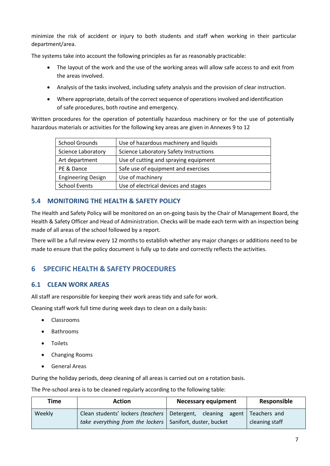minimize the risk of accident or injury to both students and staff when working in their particular department/area.

The systems take into account the following principles as far as reasonably practicable:

- The layout of the work and the use of the working areas will allow safe access to and exit from the areas involved.
- Analysis of the tasks involved, including safety analysis and the provision of clear instruction.
- Where appropriate, details of the correct sequence of operations involved and identification of safe procedures, both routine and emergency.

Written procedures for the operation of potentially hazardous machinery or for the use of potentially hazardous materials or activities for the following key areas are given in Annexes 9 to 12

| <b>School Grounds</b>     | Use of hazardous machinery and liquids        |  |
|---------------------------|-----------------------------------------------|--|
| <b>Science Laboratory</b> | <b>Science Laboratory Safety Instructions</b> |  |
| Art department            | Use of cutting and spraying equipment         |  |
| PE & Dance                | Safe use of equipment and exercises           |  |
| <b>Engineering Design</b> | Use of machinery                              |  |
| <b>School Events</b>      | Use of electrical devices and stages          |  |

## <span id="page-10-0"></span>**5.4 MONITORING THE HEALTH & SAFETY POLICY**

The Health and Safety Policy will be monitored on an on-going basis by the Chair of Management Board, the Health & Safety Officer and Head of Administration. Checks will be made each term with an inspection being made of all areas of the school followed by a report.

There will be a full review every 12 months to establish whether any major changes or additions need to be made to ensure that the policy document is fully up to date and correctly reflects the activities.

## <span id="page-10-1"></span>**6 SPECIFIC HEALTH & SAFETY PROCEDURES**

## <span id="page-10-2"></span>**6.1 CLEAN WORK AREAS**

All staff are responsible for keeping their work areas tidy and safe for work.

Cleaning staff work full time during week days to clean on a daily basis:

- Classrooms
- Bathrooms
- Toilets
- Changing Rooms
- General Areas

During the holiday periods, deep cleaning of all areas is carried out on a rotation basis.

The Pre-school area is to be cleaned regularly according to the following table:

| Time   | <b>Action</b>                                                                | <b>Necessary equipment</b> | Responsible    |
|--------|------------------------------------------------------------------------------|----------------------------|----------------|
| Weekly | Clean students' lockers (teachers   Detergent, cleaning agent   Teachers and |                            |                |
|        | take everything from the lockers   Sanifort, duster, bucket                  |                            | cleaning staff |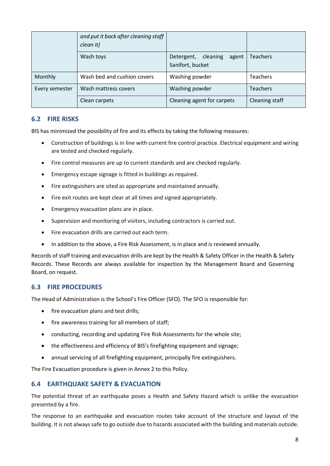|                                        | and put it back after cleaning staff<br>clean it) |                                                     |                 |
|----------------------------------------|---------------------------------------------------|-----------------------------------------------------|-----------------|
|                                        | Wash toys                                         | Detergent,<br>cleaning<br>agent<br>Sanifort, bucket | <b>Teachers</b> |
| Monthly                                | Wash bed and cushion covers                       | Washing powder                                      | <b>Teachers</b> |
| Wash mattress covers<br>Every semester |                                                   | Washing powder                                      | <b>Teachers</b> |
|                                        | Clean carpets                                     | Cleaning agent for carpets                          | Cleaning staff  |

## <span id="page-11-0"></span>**6.2 FIRE RISKS**

BIS has minimized the possibility of fire and its effects by taking the following measures:

- Construction of buildings is in line with current fire control practice. Electrical equipment and wiring are tested and checked regularly.
- Fire control measures are up to current standards and are checked regularly.
- Emergency escape signage is fitted in buildings as required.
- Fire extinguishers are sited as appropriate and maintained annually.
- Fire exit routes are kept clear at all times and signed appropriately.
- Emergency evacuation plans are in place.
- Supervision and monitoring of visitors, including contractors is carried out.
- Fire evacuation drills are carried out each term.
- In addition to the above, a Fire Risk Assessment, is in place and is reviewed annually.

Records of staff training and evacuation drills are kept by the Health & Safety Officer in the Health & Safety Records. These Records are always available for inspection by the Management Board and Governing Board, on request.

## <span id="page-11-1"></span>**6.3 FIRE PROCEDURES**

The Head of Administration is the School's Fire Officer (SFO). The SFO is responsible for:

- fire evacuation plans and test drills;
- fire awareness training for all members of staff;
- conducting, recording and updating Fire Risk Assessments for the whole site;
- the effectiveness and efficiency of BIS's firefighting equipment and signage;
- annual servicing of all firefighting equipment, principally fire extinguishers.

The Fire Evacuation procedure is given in Annex 2 to this Policy.

## <span id="page-11-2"></span>**6.4 EARTHQUAKE SAFETY & EVACUATION**

The potential threat of an earthquake poses a Health and Safety Hazard which is unlike the evacuation presented by a fire.

The response to an earthquake and evacuation routes take account of the structure and layout of the building. It is not always safe to go outside due to hazards associated with the building and materials outside.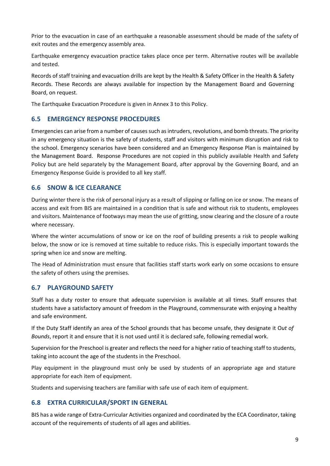Prior to the evacuation in case of an earthquake a reasonable assessment should be made of the safety of exit routes and the emergency assembly area.

Earthquake emergency evacuation practice takes place once per term. Alternative routes will be available and tested.

Records of staff training and evacuation drills are kept by the Health & Safety Officer in the Health & Safety Records. These Records are always available for inspection by the Management Board and Governing Board, on request.

The Earthquake Evacuation Procedure is given in Annex 3 to this Policy.

#### <span id="page-12-0"></span>**6.5 EMERGENCY RESPONSE PROCEDURES**

Emergencies can arise from a number of causes such as intruders, revolutions, and bomb threats. The priority in any emergency situation is the safety of students, staff and visitors with minimum disruption and risk to the school. Emergency scenarios have been considered and an Emergency Response Plan is maintained by the Management Board. Response Procedures are not copied in this publicly available Health and Safety Policy but are held separately by the Management Board, after approval by the Governing Board, and an Emergency Response Guide is provided to all key staff.

## <span id="page-12-1"></span>**6.6 SNOW & ICE CLEARANCE**

During winter there is the risk of personal injury as a result of slipping or falling on ice or snow. The means of access and exit from BIS are maintained in a condition that is safe and without risk to students, employees and visitors. Maintenance of footways may mean the use of gritting, snow clearing and the closure of a route where necessary.

Where the winter accumulations of snow or ice on the roof of building presents a risk to people walking below, the snow or ice is removed at time suitable to reduce risks. This is especially important towards the spring when ice and snow are melting.

The Head of Administration must ensure that facilities staff starts work early on some occasions to ensure the safety of others using the premises.

## <span id="page-12-2"></span>**6.7 PLAYGROUND SAFETY**

Staff has a duty roster to ensure that adequate supervision is available at all times. Staff ensures that students have a satisfactory amount of freedom in the Playground, commensurate with enjoying a healthy and safe environment.

If the Duty Staff identify an area of the School grounds that has become unsafe, they designate it O*ut of Bounds*, report it and ensure that it is not used until it is declared safe, following remedial work.

Supervision for the Preschool is greater and reflects the need for a higher ratio of teaching staff to students, taking into account the age of the students in the Preschool.

Play equipment in the playground must only be used by students of an appropriate age and stature appropriate for each item of equipment.

Students and supervising teachers are familiar with safe use of each item of equipment.

## <span id="page-12-3"></span>**6.8 EXTRA CURRICULAR/SPORT IN GENERAL**

BIS has a wide range of Extra-Curricular Activities organized and coordinated by the ECA Coordinator, taking account of the requirements of students of all ages and abilities.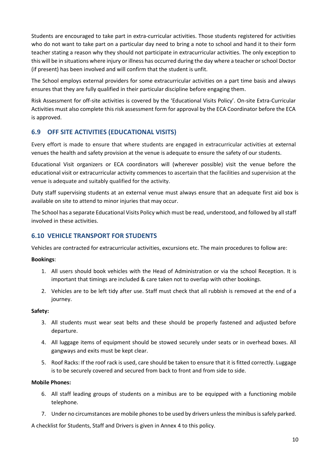Students are encouraged to take part in extra-curricular activities. Those students registered for activities who do not want to take part on a particular day need to bring a note to school and hand it to their form teacher stating a reason why they should not participate in extracurricular activities. The only exception to this will be in situations where injury or illness has occurred during the day where a teacher or school Doctor (if present) has been involved and will confirm that the student is unfit.

The School employs external providers for some extracurricular activities on a part time basis and always ensures that they are fully qualified in their particular discipline before engaging them.

Risk Assessment for off-site activities is covered by the 'Educational Visits Policy'. On-site Extra-Curricular Activities must also complete this risk assessment form for approval by the ECA Coordinator before the ECA is approved.

## <span id="page-13-0"></span>**6.9 OFF SITE ACTIVITIES (EDUCATIONAL VISITS)**

Every effort is made to ensure that where students are engaged in extracurricular activities at external venues the health and safety provision at the venue is adequate to ensure the safety of our students.

Educational Visit organizers or ECA coordinators will (wherever possible) visit the venue before the educational visit or extracurricular activity commences to ascertain that the facilities and supervision at the venue is adequate and suitably qualified for the activity.

Duty staff supervising students at an external venue must always ensure that an adequate first aid box is available on site to attend to minor injuries that may occur.

The School has a separate Educational Visits Policy which must be read, understood, and followed by all staff involved in these activities.

## <span id="page-13-1"></span>**6.10 VEHICLE TRANSPORT FOR STUDENTS**

Vehicles are contracted for extracurricular activities, excursions etc. The main procedures to follow are:

#### **Bookings**:

- 1. All users should book vehicles with the Head of Administration or via the school Reception. It is important that timings are included & care taken not to overlap with other bookings.
- 2. Vehicles are to be left tidy after use. Staff must check that all rubbish is removed at the end of a journey.

#### **Safety:**

- 3. All students must wear seat belts and these should be properly fastened and adjusted before departure.
- 4. All luggage items of equipment should be stowed securely under seats or in overhead boxes. All gangways and exits must be kept clear.
- 5. Roof Racks: If the roof rack is used, care should be taken to ensure that it is fitted correctly. Luggage is to be securely covered and secured from back to front and from side to side.

#### **Mobile Phones:**

- 6. All staff leading groups of students on a minibus are to be equipped with a functioning mobile telephone.
- 7. Under no circumstances are mobile phones to be used by drivers unless the minibus is safely parked.

A checklist for Students, Staff and Drivers is given in Annex 4 to this policy.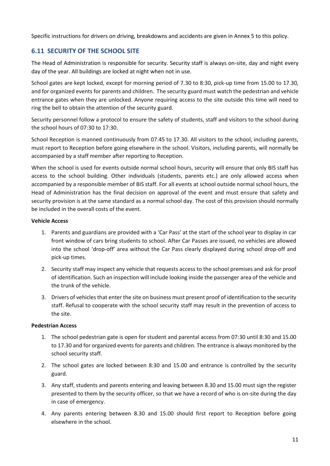Specific instructions for drivers on driving, breakdowns and accidents are given in Annex 5 to this policy.

## <span id="page-14-0"></span>**6.11 SECURITY OF THE SCHOOL SITE**

The Head of Administration is responsible for security. Security staff is always on-site, day and night every day of the year. All buildings are locked at night when not in use.

School gates are kept locked, except for morning period of 7.30 to 8:30, pick-up time from 15.00 to 17.30, and for organized events for parents and children. The security guard must watch the pedestrian and vehicle entrance gates when they are unlocked. Anyone requiring access to the site outside this time will need to ring the bell to obtain the attention of the security guard.

Security personnel follow a protocol to ensure the safety of students, staff and visitors to the school during the school hours of 07:30 to 17:30.

School Reception is manned continuously from 07.45 to 17.30. All visitors to the school, including parents, must report to Reception before going elsewhere in the school. Visitors, including parents, will normally be accompanied by a staff member after reporting to Reception.

When the school is used for events outside normal school hours, security will ensure that only BIS staff has access to the school building. Other individuals (students, parents etc.) are only allowed access when accompanied by a responsible member of BIS staff. For all events at school outside normal school hours, the Head of Administration has the final decision on approval of the event and must ensure that safety and security provision is at the same standard as a normal school day. The cost of this provision should normally be included in the overall costs of the event.

#### **Vehicle Access**

- 1. Parents and guardians are provided with a 'Car Pass' at the start of the school year to display in car front window of cars bring students to school. After Car Passes are issued, no vehicles are allowed into the school 'drop-off' area without the Car Pass clearly displayed during school drop-off and pick-up times.
- 2. Security staff may inspect any vehicle that requests access to the school premises and ask for proof of identification. Such an inspection will include looking inside the passenger area of the vehicle and the trunk of the vehicle.
- 3. Drivers of vehicles that enter the site on business must present proof of identification to the security staff. Refusal to cooperate with the school security staff may result in the prevention of access to the site.

#### **Pedestrian Access**

- 1. The school pedestrian gate is open for student and parental access from 07:30 until 8:30 and 15.00 to 17.30 and for organized events for parents and children. The entrance is always monitored by the school security staff.
- 2. The school gates are locked between 8:30 and 15.00 and entrance is controlled by the security guard.
- 3. Any staff, students and parents entering and leaving between 8.30 and 15.00 must sign the register presented to them by the security officer, so that we have a record of who is on-site during the day in case of emergency.
- 4. Any parents entering between 8.30 and 15.00 should first report to Reception before going elsewhere in the school.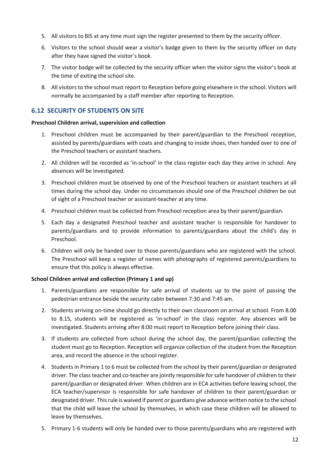- 5. All visitors to BIS at any time must sign the register presented to them by the security officer.
- 6. Visitors to the school should wear a visitor's badge given to them by the security officer on duty after they have signed the visitor's book.
- 7. The visitor badge will be collected by the security officer when the visitor signs the visitor's book at the time of exiting the school site.
- 8. All visitors to the school must report to Reception before going elsewhere in the school. Visitors will normally be accompanied by a staff member after reporting to Reception.

## <span id="page-15-0"></span>**6.12 SECURITY OF STUDENTS ON SITE**

#### **Preschool Children arrival, supervision and collection**

- 1. Preschool children must be accompanied by their parent/guardian to the Preschool reception, assisted by parents/guardians with coats and changing to inside shoes, then handed over to one of the Preschool teachers or assistant teachers.
- 2. All children will be recorded as 'in-school' in the class register each day they arrive in school. Any absences will be investigated.
- 3. Preschool children must be observed by one of the Preschool teachers or assistant teachers at all times during the school day. Under no circumstances should one of the Preschool children be out of sight of a Preschool teacher or assistant-teacher at any time.
- 4. Preschool children must be collected from Preschool reception area by their parent/guardian.
- 5. Each day a designated Preschool teacher and assistant teacher is responsible for handover to parents/guardians and to provide information to parents/guardians about the child's day in Preschool.
- 6. Children will only be handed over to those parents/guardians who are registered with the school. The Preschool will keep a register of names with photographs of registered parents/guardians to ensure that this policy is always effective.

#### **School Children arrival and collection (Primary 1 and up)**

- 1. Parents/guardians are responsible for safe arrival of students up to the point of passing the pedestrian entrance beside the security cabin between 7:30 and 7:45 am.
- 2. Students arriving on-time should go directly to their own classroom on arrival at school. From 8.00 to 8.15, students will be registered as 'in-school' in the class register. Any absences will be investigated. Students arriving after 8:00 must report to Reception before joining their class.
- 3. If students are collected from school during the school day, the parent/guardian collecting the student must go to Reception. Reception will organize collection of the student from the Reception area, and record the absence in the school register.
- 4. Students in Primary 1 to 6 must be collected from the school by their parent/guardian or designated driver. The class teacher and co-teacher are jointly responsible for safe handover of children to their parent/guardian or designated driver. When children are in ECA activities before leaving school, the ECA teacher/supervisor is responsible for safe handover of children to their parent/guardian or designated driver. This rule is waived if parent or guardians give advance written notice to the school that the child will leave the school by themselves, in which case these children will be allowed to leave by themselves.
- 5. Primary 1-6 students will only be handed over to those parents/guardians who are registered with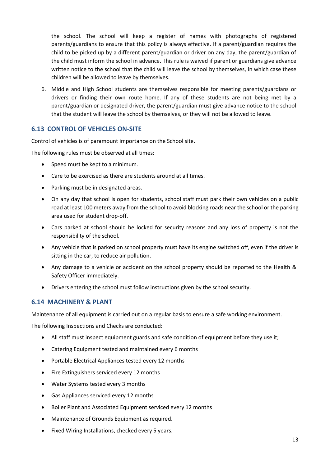the school. The school will keep a register of names with photographs of registered parents/guardians to ensure that this policy is always effective. If a parent/guardian requires the child to be picked up by a different parent/guardian or driver on any day, the parent/guardian of the child must inform the school in advance. This rule is waived if parent or guardians give advance written notice to the school that the child will leave the school by themselves, in which case these children will be allowed to leave by themselves.

6. Middle and High School students are themselves responsible for meeting parents/guardians or drivers or finding their own route home. If any of these students are not being met by a parent/guardian or designated driver, the parent/guardian must give advance notice to the school that the student will leave the school by themselves, or they will not be allowed to leave.

#### <span id="page-16-0"></span>**6.13 CONTROL OF VEHICLES ON-SITE**

Control of vehicles is of paramount importance on the School site.

The following rules must be observed at all times:

- Speed must be kept to a minimum.
- Care to be exercised as there are students around at all times.
- Parking must be in designated areas.
- On any day that school is open for students, school staff must park their own vehicles on a public road at least 100 meters away from the school to avoid blocking roads near the school or the parking area used for student drop-off.
- Cars parked at school should be locked for security reasons and any loss of property is not the responsibility of the school.
- Any vehicle that is parked on school property must have its engine switched off, even if the driver is sitting in the car, to reduce air pollution.
- Any damage to a vehicle or accident on the school property should be reported to the Health & Safety Officer immediately.
- Drivers entering the school must follow instructions given by the school security.

#### <span id="page-16-1"></span>**6.14 MACHINERY & PLANT**

Maintenance of all equipment is carried out on a regular basis to ensure a safe working environment.

The following Inspections and Checks are conducted:

- All staff must inspect equipment guards and safe condition of equipment before they use it;
- Catering Equipment tested and maintained every 6 months
- Portable Electrical Appliances tested every 12 months
- Fire Extinguishers serviced every 12 months
- Water Systems tested every 3 months
- Gas Appliances serviced every 12 months
- Boiler Plant and Associated Equipment serviced every 12 months
- Maintenance of Grounds Equipment as required.
- Fixed Wiring Installations, checked every 5 years.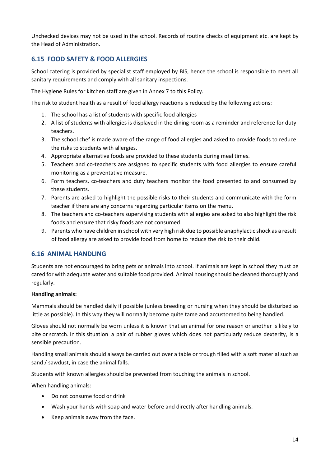Unchecked devices may not be used in the school. Records of routine checks of equipment etc. are kept by the Head of Administration.

## <span id="page-17-0"></span>**6.15 FOOD SAFETY & FOOD ALLERGIES**

School catering is provided by specialist staff employed by BIS, hence the school is responsible to meet all sanitary requirements and comply with all sanitary inspections.

The Hygiene Rules for kitchen staff are given in Annex 7 to this Policy.

The risk to student health as a result of food allergy reactions is reduced by the following actions:

- 1. The school has a list of students with specific food allergies
- 2. A list of students with allergies is displayed in the dining room as a reminder and reference for duty teachers.
- 3. The school chef is made aware of the range of food allergies and asked to provide foods to reduce the risks to students with allergies.
- 4. Appropriate alternative foods are provided to these students during meal times.
- 5. Teachers and co-teachers are assigned to specific students with food allergies to ensure careful monitoring as a preventative measure.
- 6. Form teachers, co-teachers and duty teachers monitor the food presented to and consumed by these students.
- 7. Parents are asked to highlight the possible risks to their students and communicate with the form teacher if there are any concerns regarding particular items on the menu.
- 8. The teachers and co-teachers supervising students with allergies are asked to also highlight the risk foods and ensure that risky foods are not consumed.
- 9. Parents who have children in school with very high risk due to possible anaphylactic shock as a result of food allergy are asked to provide food from home to reduce the risk to their child.

#### <span id="page-17-1"></span>**6.16 ANIMAL HANDLING**

Students are not encouraged to bring pets or animals into school. If animals are kept in school they must be cared for with adequate water and suitable food provided. Animal housing should be cleaned thoroughly and regularly.

#### **Handling animals:**

Mammals should be handled daily if possible (unless breeding or nursing when they should be disturbed as little as possible). In this way they will normally become quite tame and accustomed to being handled.

Gloves should not normally be worn unless it is known that an animal for one reason or another is likely to bite or scratch. In this situation a pair of rubber gloves which does not particularly reduce dexterity, is a sensible precaution.

Handling small animals should always be carried out over a table or trough filled with a soft material such as sand / sawdust, in case the animal falls.

Students with known allergies should be prevented from touching the animals in school.

When handling animals:

- Do not consume food or drink
- Wash your hands with soap and water before and directly after handling animals.
- Keep animals away from the face.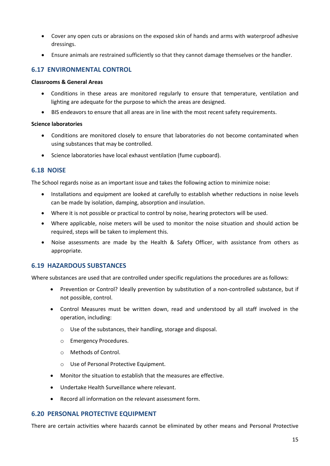- Cover any open cuts or abrasions on the exposed skin of hands and arms with waterproof adhesive dressings.
- Ensure animals are restrained sufficiently so that they cannot damage themselves or the handler.

#### <span id="page-18-0"></span>**6.17 ENVIRONMENTAL CONTROL**

#### **Classrooms & General Areas**

- Conditions in these areas are monitored regularly to ensure that temperature, ventilation and lighting are adequate for the purpose to which the areas are designed.
- BIS endeavors to ensure that all areas are in line with the most recent safety requirements.

#### **Science laboratories**

- Conditions are monitored closely to ensure that laboratories do not become contaminated when using substances that may be controlled.
- Science laboratories have local exhaust ventilation (fume cupboard).

#### <span id="page-18-1"></span>**6.18 NOISE**

The School regards noise as an important issue and takes the following action to minimize noise:

- Installations and equipment are looked at carefully to establish whether reductions in noise levels can be made by isolation, damping, absorption and insulation.
- Where it is not possible or practical to control by noise, hearing protectors will be used.
- Where applicable, noise meters will be used to monitor the noise situation and should action be required, steps will be taken to implement this.
- Noise assessments are made by the Health & Safety Officer, with assistance from others as appropriate.

#### <span id="page-18-2"></span>**6.19 HAZARDOUS SUBSTANCES**

Where substances are used that are controlled under specific regulations the procedures are as follows:

- Prevention or Control? Ideally prevention by substitution of a non-controlled substance, but if not possible, control.
- Control Measures must be written down, read and understood by all staff involved in the operation, including:
	- o Use of the substances, their handling, storage and disposal.
	- o Emergency Procedures.
	- o Methods of Control.
	- o Use of Personal Protective Equipment.
- Monitor the situation to establish that the measures are effective.
- Undertake Health Surveillance where relevant.
- Record all information on the relevant assessment form.

#### <span id="page-18-3"></span>**6.20 PERSONAL PROTECTIVE EQUIPMENT**

There are certain activities where hazards cannot be eliminated by other means and Personal Protective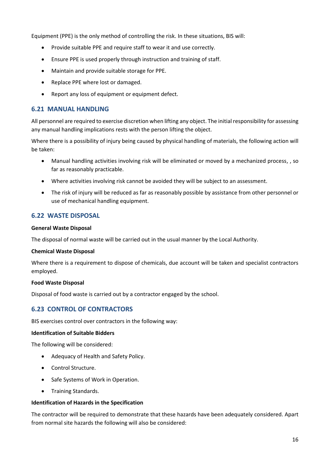Equipment (PPE) is the only method of controlling the risk. In these situations, BIS will:

- Provide suitable PPE and require staff to wear it and use correctly.
- Ensure PPE is used properly through instruction and training of staff.
- Maintain and provide suitable storage for PPE.
- Replace PPE where lost or damaged.
- Report any loss of equipment or equipment defect.

#### <span id="page-19-0"></span>**6.21 MANUAL HANDLING**

All personnel are required to exercise discretion when lifting any object. The initialresponsibility for assessing any manual handling implications rests with the person lifting the object.

Where there is a possibility of injury being caused by physical handling of materials, the following action will be taken:

- Manual handling activities involving risk will be eliminated or moved by a mechanized process, , so far as reasonably practicable.
- Where activities involving risk cannot be avoided they will be subject to an assessment.
- The risk of injury will be reduced as far as reasonably possible by assistance from other personnel or use of mechanical handling equipment.

#### <span id="page-19-1"></span>**6.22 WASTE DISPOSAL**

#### **General Waste Disposal**

The disposal of normal waste will be carried out in the usual manner by the Local Authority.

#### **Chemical Waste Disposal**

Where there is a requirement to dispose of chemicals, due account will be taken and specialist contractors employed.

#### **Food Waste Disposal**

Disposal of food waste is carried out by a contractor engaged by the school.

## <span id="page-19-2"></span>**6.23 CONTROL OF CONTRACTORS**

BIS exercises control over contractors in the following way:

#### **Identification of Suitable Bidders**

The following will be considered:

- Adequacy of Health and Safety Policy.
- Control Structure.
- Safe Systems of Work in Operation.
- Training Standards.

#### **Identification of Hazards in the Specification**

The contractor will be required to demonstrate that these hazards have been adequately considered. Apart from normal site hazards the following will also be considered: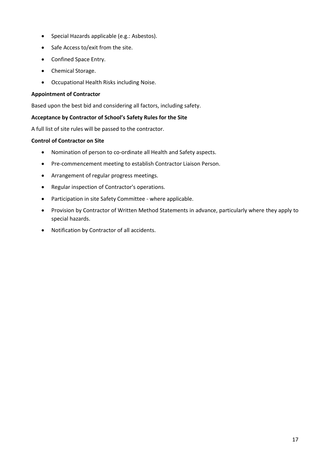- Special Hazards applicable (e.g.: Asbestos).
- Safe Access to/exit from the site.
- Confined Space Entry.
- Chemical Storage.
- Occupational Health Risks including Noise.

#### **Appointment of Contractor**

Based upon the best bid and considering all factors, including safety.

#### **Acceptance by Contractor of School's Safety Rules for the Site**

A full list of site rules will be passed to the contractor.

#### **Control of Contractor on Site**

- Nomination of person to co-ordinate all Health and Safety aspects.
- Pre-commencement meeting to establish Contractor Liaison Person.
- Arrangement of regular progress meetings.
- Regular inspection of Contractor's operations.
- Participation in site Safety Committee where applicable.
- Provision by Contractor of Written Method Statements in advance, particularly where they apply to special hazards.
- Notification by Contractor of all accidents.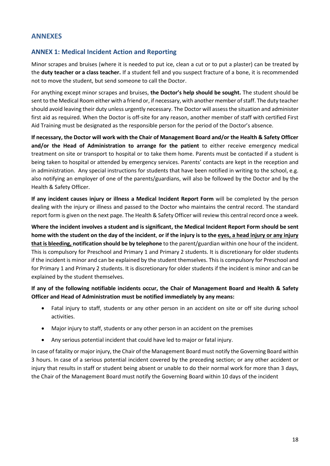## <span id="page-21-0"></span>**ANNEXES**

#### <span id="page-21-1"></span>**ANNEX 1: Medical Incident Action and Reporting**

Minor scrapes and bruises (where it is needed to put ice, clean a cut or to put a plaster) can be treated by the **duty teacher or a class teacher.** If a student fell and you suspect fracture of a bone, it is recommended not to move the student, but send someone to call the Doctor.

For anything except minor scrapes and bruises, **the Doctor's help should be sought.** The student should be sent to the Medical Room either with a friend or, if necessary, with another member of staff. The duty teacher should avoid leaving their duty unless urgently necessary. The Doctor will assess the situation and administer first aid as required. When the Doctor is off-site for any reason, another member of staff with certified First Aid Training must be designated as the responsible person for the period of the Doctor's absence.

**If necessary, the Doctor will work with the Chair of Management Board and/or the Health & Safety Officer and/or the Head of Administration to arrange for the patient** to either receive emergency medical treatment on site or transport to hospital or to take them home. Parents must be contacted if a student is being taken to hospital or attended by emergency services. Parents' contacts are kept in the reception and in administration. Any special instructions for students that have been notified in writing to the school, e.g. also notifying an employer of one of the parents/guardians, will also be followed by the Doctor and by the Health & Safety Officer.

**If any incident causes injury or illness a Medical Incident Report Form** will be completed by the person dealing with the injury or illness and passed to the Doctor who maintains the central record. The standard report form is given on the next page. The Health & Safety Officer will review this central record once a week.

**Where the incident involves a student and is significant, the Medical Incident Report Form should be sent home with the student on the day of the incident**, **or if the injury is to the eyes, a head injury or any injury that is bleeding, notification should be by telephone** to the parent/guardian within one hour of the incident. This is compulsory for Preschool and Primary 1 and Primary 2 students. It is discretionary for older students if the incident is minor and can be explained by the student themselves. This is compulsory for Preschool and for Primary 1 and Primary 2 students. It is discretionary for older students if the incident is minor and can be explained by the student themselves.

#### **If any of the following notifiable incidents occur, the Chair of Management Board and Health & Safety Officer and Head of Administration must be notified immediately by any means:**

- Fatal injury to staff, students or any other person in an accident on site or off site during school activities.
- Major injury to staff, students or any other person in an accident on the premises
- Any serious potential incident that could have led to major or fatal injury.

In case of fatality or major injury, the Chair of the Management Board must notify the Governing Board within 3 hours. In case of a serious potential incident covered by the preceding section; or any other accident or injury that results in staff or student being absent or unable to do their normal work for more than 3 days, the Chair of the Management Board must notify the Governing Board within 10 days of the incident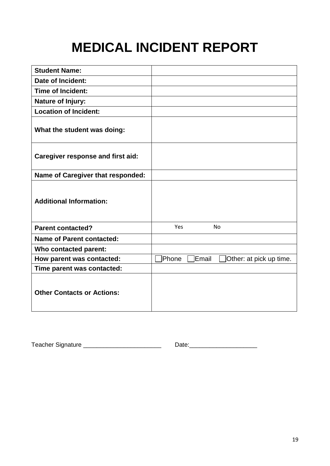## **MEDICAL INCIDENT REPORT**

| <b>Student Name:</b>                     |                                           |
|------------------------------------------|-------------------------------------------|
| <b>Date of Incident:</b>                 |                                           |
| <b>Time of Incident:</b>                 |                                           |
| <b>Nature of Injury:</b>                 |                                           |
| <b>Location of Incident:</b>             |                                           |
| What the student was doing:              |                                           |
| <b>Caregiver response and first aid:</b> |                                           |
| <b>Name of Caregiver that responded:</b> |                                           |
| <b>Additional Information:</b>           |                                           |
| <b>Parent contacted?</b>                 | Yes<br><b>No</b>                          |
| <b>Name of Parent contacted:</b>         |                                           |
| Who contacted parent:                    |                                           |
| How parent was contacted:                | Phone<br>Email<br>Other: at pick up time. |
| Time parent was contacted:               |                                           |
| <b>Other Contacts or Actions:</b>        |                                           |

Teacher Signature \_\_\_\_\_\_\_\_\_\_\_\_\_\_\_\_\_\_\_\_\_\_\_ Date:\_\_\_\_\_\_\_\_\_\_\_\_\_\_\_\_\_\_\_\_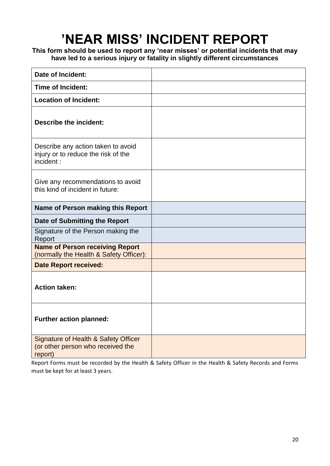## **'NEAR MISS' INCIDENT REPORT**

**This form should be used to report any 'near misses' or potential incidents that may have led to a serious injury or fatality in slightly different circumstances**

| Date of Incident:                                                                               |  |
|-------------------------------------------------------------------------------------------------|--|
| <b>Time of Incident:</b>                                                                        |  |
| <b>Location of Incident:</b>                                                                    |  |
| <b>Describe the incident:</b>                                                                   |  |
| Describe any action taken to avoid<br>injury or to reduce the risk of the<br>incident:          |  |
| Give any recommendations to avoid<br>this kind of incident in future:                           |  |
| <b>Name of Person making this Report</b>                                                        |  |
| Date of Submitting the Report                                                                   |  |
| Signature of the Person making the<br>Report                                                    |  |
| <b>Name of Person receiving Report</b><br>(normally the Health & Safety Officer):               |  |
| <b>Date Report received:</b>                                                                    |  |
| <b>Action taken:</b>                                                                            |  |
| Further action planned:                                                                         |  |
| <b>Signature of Health &amp; Safety Officer</b><br>(or other person who received the<br>report) |  |

Report Forms must be recorded by the Health & Safety Officer in the Health & Safety Records and Forms must be kept for at least 3 years.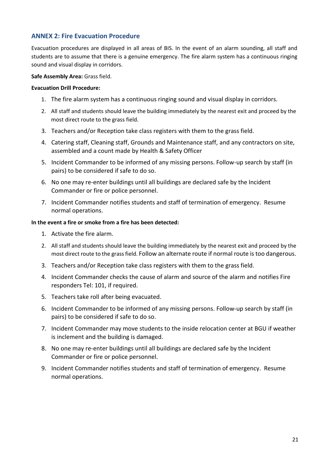## <span id="page-24-0"></span>**ANNEX 2: Fire Evacuation Procedure**

Evacuation procedures are displayed in all areas of BIS. In the event of an alarm sounding, all staff and students are to assume that there is a genuine emergency. The fire alarm system has a continuous ringing sound and visual display in corridors.

#### **Safe Assembly Area:** Grass field.

#### **Evacuation Drill Procedure:**

- 1. The fire alarm system has a continuous ringing sound and visual display in corridors.
- 2. All staff and students should leave the building immediately by the nearest exit and proceed by the most direct route to the grass field.
- 3. Teachers and/or Reception take class registers with them to the grass field.
- 4. Catering staff, Cleaning staff, Grounds and Maintenance staff, and any contractors on site, assembled and a count made by Health & Safety Officer
- 5. Incident Commander to be informed of any missing persons. Follow-up search by staff (in pairs) to be considered if safe to do so.
- 6. No one may re-enter buildings until all buildings are declared safe by the Incident Commander or fire or police personnel.
- 7. Incident Commander notifies students and staff of termination of emergency. Resume normal operations.

#### **In the event a fire or smoke from a fire has been detected:**

- 1. Activate the fire alarm.
- 2. All staff and students should leave the building immediately by the nearest exit and proceed by the most direct route to the grass field. Follow an alternate route if normal route is too dangerous.
- 3. Teachers and/or Reception take class registers with them to the grass field.
- 4. Incident Commander checks the cause of alarm and source of the alarm and notifies Fire responders Tel: 101, if required.
- 5. Teachers take roll after being evacuated.
- 6. Incident Commander to be informed of any missing persons. Follow-up search by staff (in pairs) to be considered if safe to do so.
- 7. Incident Commander may move students to the inside relocation center at BGU if weather is inclement and the building is damaged.
- 8. No one may re-enter buildings until all buildings are declared safe by the Incident Commander or fire or police personnel.
- 9. Incident Commander notifies students and staff of termination of emergency. Resume normal operations.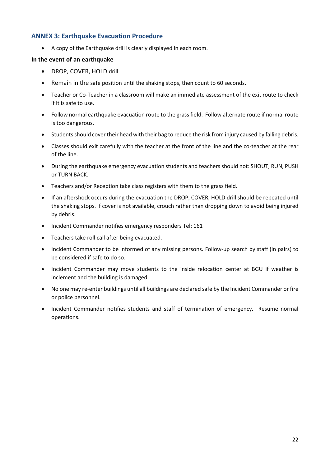## <span id="page-25-0"></span>**ANNEX 3: Earthquake Evacuation Procedure**

• A copy of the Earthquake drill is clearly displayed in each room.

#### **In the event of an earthquake**

- DROP, COVER, HOLD drill
- Remain in the safe position until the shaking stops, then count to 60 seconds.
- Teacher or Co-Teacher in a classroom will make an immediate assessment of the exit route to check if it is safe to use.
- Follow normal earthquake evacuation route to the grass field. Follow alternate route if normal route is too dangerous.
- Students should cover their head with their bag to reduce the risk from injury caused by falling debris.
- Classes should exit carefully with the teacher at the front of the line and the co-teacher at the rear of the line.
- During the earthquake emergency evacuation students and teachers should not: SHOUT, RUN, PUSH or TURN BACK.
- Teachers and/or Reception take class registers with them to the grass field.
- If an aftershock occurs during the evacuation the DROP, COVER, HOLD drill should be repeated until the shaking stops. If cover is not available, crouch rather than dropping down to avoid being injured by debris.
- Incident Commander notifies emergency responders Tel: 161
- Teachers take roll call after being evacuated.
- Incident Commander to be informed of any missing persons. Follow-up search by staff (in pairs) to be considered if safe to do so.
- Incident Commander may move students to the inside relocation center at BGU if weather is inclement and the building is damaged.
- No one may re-enter buildings until all buildings are declared safe by the Incident Commander or fire or police personnel.
- Incident Commander notifies students and staff of termination of emergency. Resume normal operations.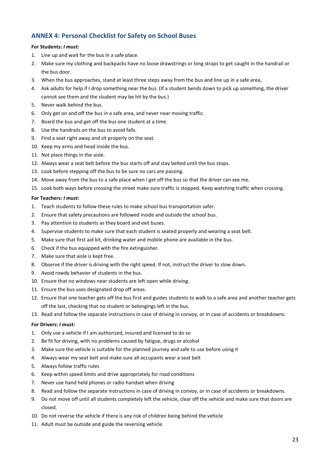## <span id="page-26-0"></span>**ANNEX 4: Personal Checklist for Safety on School Buses**

#### **For Students:** *I must:*

- 1. Line up and wait for the bus in a safe place.
- 2. Make sure my clothing and backpacks have no loose drawstrings or long straps to get caught in the handrail or the bus door.
- 3. When the bus approaches, stand at least three steps away from the bus and line up in a safe area,
- 4. Ask adults for help if I drop something near the bus. (If a student bends down to pick up something, the driver cannot see them and the student may be hit by the bus.)
- 5. Never walk behind the bus.
- 6. Only get on and off the bus in a safe area, and never near moving traffic.
- 7. Board the bus and get off the bus one student at a time.
- 8. Use the handrails on the bus to avoid falls.
- 9. Find a seat right away and sit properly on the seat.
- 10. Keep my arms and head inside the bus.
- 11. Not place things in the aisle.
- 12. Always wear a seat belt before the bus starts off and stay belted until the bus stops.
- 13. Look before stepping off the bus to be sure no cars are passing.
- 14. Move away from the bus to a safe place when I get off the bus so that the driver can see me.
- 15. Look both ways before crossing the street make sure traffic is stopped. Keep watching traffic when crossing.

#### **For Teachers:** *I must:*

- 1. Teach students to follow these rules to make school bus transportation safer.
- 2. Ensure that safety precautions are followed inside and outside the school bus.
- 3. Pay attention to students as they board and exit buses.
- 4. Supervise students to make sure that each student is seated properly and wearing a seat belt.
- 5. Make sure that first aid kit, drinking water and mobile phone are available in the bus.
- 6. Check if the bus equipped with the fire extinguisher.
- 7. Make sure that aisle is kept free.
- 8. Observe if the driver is driving with the right speed. If not, instruct the driver to slow down.
- 9. Avoid rowdy behavior of students in the bus.
- 10. Ensure that no windows near students are left open while driving.
- 11. Ensure the bus uses designated drop off areas.
- 12. Ensure that one teacher gets off the bus first and guides students to walk to a safe area and another teacher gets off the last, checking that no student or belongings left in the bus.
- 13. Read and follow the separate instructions in case of driving in convoy, or in case of accidents or breakdowns.

#### **For Drivers:** *I must:*

- 1. Only use a vehicle if I am authorized, insured and licensed to do so
- 2. Be fit for driving, with no problems caused by fatigue, drugs or alcohol
- 3. Make sure the vehicle is suitable for the planned journey and safe to use before using it
- 4. Always wear my seat belt and make sure all occupants wear a seat belt
- 5. Always follow traffic rules
- 6. Keep within speed limits and drive appropriately for road conditions
- 7. Never use hand held phones or radio handset when driving
- 8. Read and follow the separate instructions in case of driving in convoy, or in case of accidents or breakdowns.
- 9. Do not move off until all students completely left the vehicle, clear off the vehicle and make sure that doors are closed.
- 10. Do not reverse the vehicle if there is any risk of children being behind the vehicle
- 11. Adult must be outside and guide the reversing vehicle.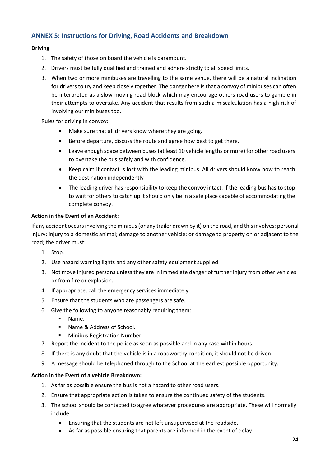## <span id="page-27-0"></span>**ANNEX 5: Instructions for Driving, Road Accidents and Breakdown**

#### **Driving**

- 1. The safety of those on board the vehicle is paramount.
- 2. Drivers must be fully qualified and trained and adhere strictly to all speed limits.
- 3. When two or more minibuses are travelling to the same venue, there will be a natural inclination for drivers to try and keep closely together. The danger here is that a convoy of minibuses can often be interpreted as a slow-moving road block which may encourage others road users to gamble in their attempts to overtake. Any accident that results from such a miscalculation has a high risk of involving our minibuses too.

Rules for driving in convoy:

- Make sure that all drivers know where they are going.
- Before departure, discuss the route and agree how best to get there.
- Leave enough space between buses (at least 10 vehicle lengths or more) for other road users to overtake the bus safely and with confidence.
- Keep calm if contact is lost with the leading minibus. All drivers should know how to reach the destination independently
- The leading driver has responsibility to keep the convoy intact. If the leading bus has to stop to wait for others to catch up it should only be in a safe place capable of accommodating the complete convoy.

#### **Action in the Event of an Accident:**

If any accident occurs involving the minibus (or any trailer drawn by it) on the road, and this involves: personal injury; injury to a domestic animal; damage to another vehicle; or damage to property on or adjacent to the road; the driver must:

- 1. Stop.
- 2. Use hazard warning lights and any other safety equipment supplied.
- 3. Not move injured persons unless they are in immediate danger of further injury from other vehicles or from fire or explosion.
- 4. If appropriate, call the emergency services immediately.
- 5. Ensure that the students who are passengers are safe.
- 6. Give the following to anyone reasonably requiring them:
	- Name.
	- Name & Address of School.
	- Minibus Registration Number.
- 7. Report the incident to the police as soon as possible and in any case within hours.
- 8. If there is any doubt that the vehicle is in a roadworthy condition, it should not be driven.
- 9. A message should be telephoned through to the School at the earliest possible opportunity.

#### **Action in the Event of a vehicle Breakdown:**

- 1. As far as possible ensure the bus is not a hazard to other road users.
- 2. Ensure that appropriate action is taken to ensure the continued safety of the students.
- 3. The school should be contacted to agree whatever procedures are appropriate. These will normally include:
	- Ensuring that the students are not left unsupervised at the roadside.
	- As far as possible ensuring that parents are informed in the event of delay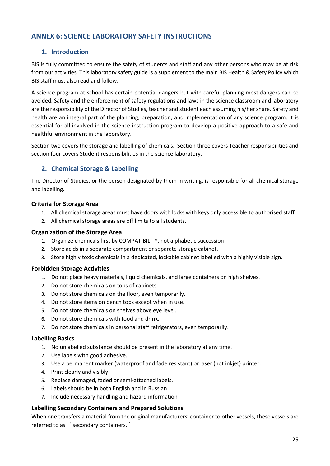## <span id="page-28-0"></span>**ANNEX 6: SCIENCE LABORATORY SAFETY INSTRUCTIONS**

## **1. Introduction**

BIS is fully committed to ensure the safety of students and staff and any other persons who may be at risk from our activities. This laboratory safety guide is a supplement to the main BIS Health & Safety Policy which BIS staff must also read and follow.

A science program at school has certain potential dangers but with careful planning most dangers can be avoided. Safety and the enforcement of safety regulations and laws in the science classroom and laboratory are the responsibility of the Director of Studies, teacher and student each assuming his/her share. Safety and health are an integral part of the planning, preparation, and implementation of any science program. It is essential for all involved in the science instruction program to develop a positive approach to a safe and healthful environment in the laboratory.

Section two covers the storage and labelling of chemicals. Section three covers Teacher responsibilities and section four covers Student responsibilities in the science laboratory.

## **2. Chemical Storage & Labelling**

The Director of Studies, or the person designated by them in writing, is responsible for all chemical storage and labelling.

#### **Criteria for Storage Area**

- 1. All chemical storage areas must have doors with locks with keys only accessible to authorised staff.
- 2. All chemical storage areas are off limits to all students.

#### **Organization of the Storage Area**

- 1. Organize chemicals first by COMPATIBILITY, not alphabetic succession
- 2. Store acids in a separate compartment or separate storage cabinet.
- 3. Store highly toxic chemicals in a dedicated, lockable cabinet labelled with a highly visible sign.

#### **Forbidden Storage Activities**

- 1. Do not place heavy materials, liquid chemicals, and large containers on high shelves.
- 2. Do not store chemicals on tops of cabinets.
- 3. Do not store chemicals on the floor, even temporarily.
- 4. Do not store items on bench tops except when in use.
- 5. Do not store chemicals on shelves above eye level.
- 6. Do not store chemicals with food and drink.
- 7. Do not store chemicals in personal staff refrigerators, even temporarily.

#### **Labelling Basics**

- 1. No unlabelled substance should be present in the laboratory at any time.
- 2. Use labels with good adhesive.
- 3. Use a permanent marker (waterproof and fade resistant) or laser (not inkjet) printer.
- 4. Print clearly and visibly.
- 5. Replace damaged, faded or semi-attached labels.
- 6. Labels should be in both English and in Russian
- 7. Include necessary handling and hazard information

#### **Labelling Secondary Containers and Prepared Solutions**

When one transfers a material from the original manufacturers' container to other vessels, these vessels are referred to as "secondary containers."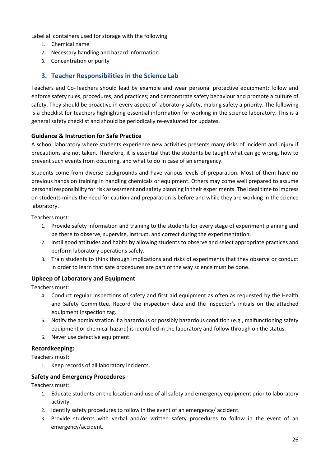Label all containers used for storage with the following:

- 1. Chemical name
- 2. Necessary handling and hazard information
- 3. Concentration or purity

## **3. Teacher Responsibilities in the Science Lab**

Teachers and Co-Teachers should lead by example and wear personal protective equipment; follow and enforce safety rules, procedures, and practices; and demonstrate safety behaviour and promote a culture of safety. They should be proactive in every aspect of laboratory safety, making safety a priority. The following is a checklist for teachers highlighting essential information for working in the science laboratory. This is a general safety checklist and should be periodically re-evaluated for updates.

#### **Guidance & Instruction for Safe Practice**

A school laboratory where students experience new activities presents many risks of incident and injury if precautions are not taken. Therefore, it is essential that the students be taught what can go wrong, how to prevent such events from occurring, and what to do in case of an emergency.

Students come from diverse backgrounds and have various levels of preparation. Most of them have no previous hands on training in handling chemicals or equipment. Others may come well prepared to assume personal responsibility for risk assessment and safety planning in their experiments. The ideal time to impress on students minds the need for caution and preparation is before and while they are working in the science laboratory.

Teachers must:

- 1. Provide safety information and training to the students for every stage of experiment planning and be there to observe, supervise, instruct, and correct during the experimentation.
- 2. Instil good attitudes and habits by allowing students to observe and select appropriate practices and perform laboratory operations safely.
- 3. Train students to think through implications and risks of experiments that they observe or conduct in order to learn that safe procedures are part of the way science must be done.

## **Upkeep of Laboratory and Equipment**

Teachers must:

- 4. Conduct regular inspections of safety and first aid equipment as often as requested by the Health and Safety Committee. Record the inspection date and the inspector's initials on the attached equipment inspection tag.
- 5. Notify the administration if a hazardous or possibly hazardous condition (e.g., malfunctioning safety equipment or chemical hazard) is identified in the laboratory and follow through on the status.
- 6. Never use defective equipment.

#### **Recordkeeping:**

Teachers must:

1. Keep records of all laboratory incidents.

#### **Safety and Emergency Procedures**

Teachers must:

- 1. Educate students on the location and use of all safety and emergency equipment prior to laboratory activity.
- 2. Identify safety procedures to follow in the event of an emergency/ accident.
- 3. Provide students with verbal and/or written safety procedures to follow in the event of an emergency/accident.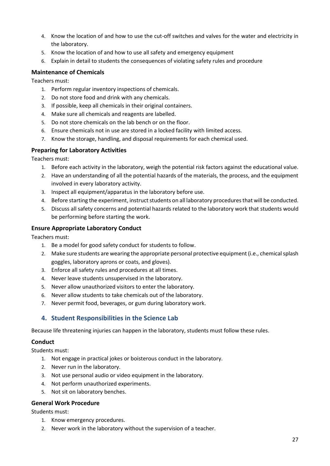- 4. Know the location of and how to use the cut-off switches and valves for the water and electricity in the laboratory.
- 5. Know the location of and how to use all safety and emergency equipment
- 6. Explain in detail to students the consequences of violating safety rules and procedure

#### **Maintenance of Chemicals**

Teachers must:

- 1. Perform regular inventory inspections of chemicals.
- 2. Do not store food and drink with any chemicals.
- 3. If possible, keep all chemicals in their original containers.
- 4. Make sure all chemicals and reagents are labelled.
- 5. Do not store chemicals on the lab bench or on the floor.
- 6. Ensure chemicals not in use are stored in a locked facility with limited access.
- 7. Know the storage, handling, and disposal requirements for each chemical used.

#### **Preparing for Laboratory Activities**

Teachers must:

- 1. Before each activity in the laboratory, weigh the potential risk factors against the educational value.
- 2. Have an understanding of all the potential hazards of the materials, the process, and the equipment involved in every laboratory activity.
- 3. Inspect all equipment/apparatus in the laboratory before use.
- 4. Before starting the experiment, instruct students on all laboratory procedures that will be conducted.
- 5. Discuss all safety concerns and potential hazards related to the laboratory work that students would be performing before starting the work.

#### **Ensure Appropriate Laboratory Conduct**

Teachers must:

- 1. Be a model for good safety conduct for students to follow.
- 2. Make sure students are wearing the appropriate personal protective equipment (i.e., chemical splash goggles, laboratory aprons or coats, and gloves).
- 3. Enforce all safety rules and procedures at all times.
- 4. Never leave students unsupervised in the laboratory.
- 5. Never allow unauthorized visitors to enter the laboratory.
- 6. Never allow students to take chemicals out of the laboratory.
- 7. Never permit food, beverages, or gum during laboratory work.

## **4. Student Responsibilities in the Science Lab**

Because life threatening injuries can happen in the laboratory, students must follow these rules.

#### **Conduct**

Students must:

- 1. Not engage in practical jokes or boisterous conduct in the laboratory.
- 2. Never run in the laboratory.
- 3. Not use personal audio or video equipment in the laboratory.
- 4. Not perform unauthorized experiments.
- 5. Not sit on laboratory benches.

#### **General Work Procedure**

Students must:

- 1. Know emergency procedures.
- 2. Never work in the laboratory without the supervision of a teacher.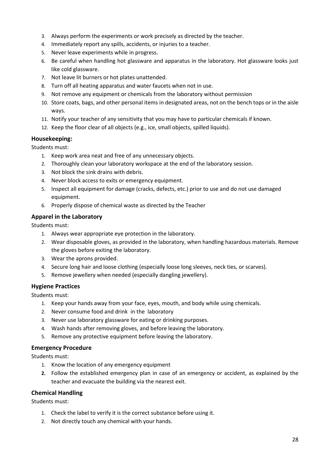- 3. Always perform the experiments or work precisely as directed by the teacher.
- 4. Immediately report any spills, accidents, or injuries to a teacher.
- 5. Never leave experiments while in progress.
- 6. Be careful when handling hot glassware and apparatus in the laboratory. Hot glassware looks just like cold glassware.
- 7. Not leave lit burners or hot plates unattended.
- 8. Turn off all heating apparatus and water faucets when not in use.
- 9. Not remove any equipment or chemicals from the laboratory without permission
- 10. Store coats, bags, and other personal items in designated areas, not on the bench tops or in the aisle ways.
- 11. Notify your teacher of any sensitivity that you may have to particular chemicals if known.
- 12. Keep the floor clear of all objects (e.g., ice, small objects, spilled liquids).

#### **Housekeeping:**

Students must:

- 1. Keep work area neat and free of any unnecessary objects.
- 2. Thoroughly clean your laboratory workspace at the end of the laboratory session.
- 3. Not block the sink drains with debris.
- 4. Never block access to exits or emergency equipment.
- 5. Inspect all equipment for damage (cracks, defects, etc.) prior to use and do not use damaged equipment.
- 6. Properly dispose of chemical waste as directed by the Teacher

## **Apparel in the Laboratory**

Students must:

- 1. Always wear appropriate eye protection in the laboratory.
- 2. Wear disposable gloves, as provided in the laboratory, when handling hazardous materials. Remove the gloves before exiting the laboratory.
- 3. Wear the aprons provided.
- 4. Secure long hair and loose clothing (especially loose long sleeves, neck ties, or scarves).
- 5. Remove jewellery when needed (especially dangling jewellery).

## **Hygiene Practices**

Students must:

- 1. Keep your hands away from your face, eyes, mouth, and body while using chemicals.
- 2. Never consume food and drink in the laboratory
- 3. Never use laboratory glassware for eating or drinking purposes.
- 4. Wash hands after removing gloves, and before leaving the laboratory.
- 5. Remove any protective equipment before leaving the laboratory.

## **Emergency Procedure**

Students must:

- 1. Know the location of any emergency equipment
- **2.** Follow the established emergency plan in case of an emergency or accident, as explained by the teacher and evacuate the building via the nearest exit.

## **Chemical Handling**

Students must:

- 1. Check the label to verify it is the correct substance before using it.
- 2. Not directly touch any chemical with your hands.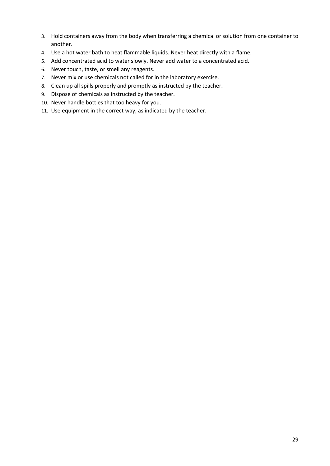- 3. Hold containers away from the body when transferring a chemical or solution from one container to another.
- 4. Use a hot water bath to heat flammable liquids. Never heat directly with a flame.
- 5. Add concentrated acid to water slowly. Never add water to a concentrated acid.
- 6. Never touch, taste, or smell any reagents.
- 7. Never mix or use chemicals not called for in the laboratory exercise.
- 8. Clean up all spills properly and promptly as instructed by the teacher.
- 9. Dispose of chemicals as instructed by the teacher.
- 10. Never handle bottles that too heavy for you.
- 11. Use equipment in the correct way, as indicated by the teacher.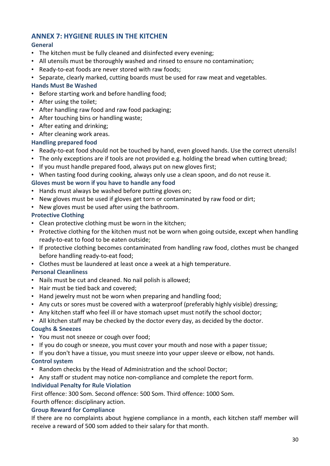## <span id="page-33-0"></span>**ANNEX 7: HYGIENE RULES IN THE KITCHEN**

## **General**

- The kitchen must be fully cleaned and disinfected every evening;
- All utensils must be thoroughly washed and rinsed to ensure no contamination;
- Ready-to-eat foods are never stored with raw foods;
- Separate, clearly marked, cutting boards must be used for raw meat and vegetables.

## **Hands Must Be Washed**

- Before starting work and before handling food;
- After using the toilet;
- After handling raw food and raw food packaging;
- After touching bins or handling waste;
- After eating and drinking;
- After cleaning work areas.

## **Handling prepared food**

- Ready-to-eat food should not be touched by hand, even gloved hands. Use the correct utensils!
- The only exceptions are if tools are not provided e.g. holding the bread when cutting bread;
- If you must handle prepared food, always put on new gloves first;
- When tasting food during cooking, always only use a clean spoon, and do not reuse it.

## **Gloves must be worn if you have to handle any food**

- Hands must always be washed before putting gloves on;
- New gloves must be used if gloves get torn or contaminated by raw food or dirt;
- New gloves must be used after using the bathroom.

## **Protective Clothing**

- Clean protective clothing must be worn in the kitchen;
- Protective clothing for the kitchen must not be worn when going outside, except when handling ready-to-eat to food to be eaten outside;
- If protective clothing becomes contaminated from handling raw food, clothes must be changed before handling ready-to-eat food;
- Clothes must be laundered at least once a week at a high temperature.

## **Personal Cleanliness**

- Nails must be cut and cleaned. No nail polish is allowed;
- Hair must be tied back and covered;
- Hand jewelry must not be worn when preparing and handling food;
- Any cuts or sores must be covered with a waterproof (preferably highly visible) dressing;
- Any kitchen staff who feel ill or have stomach upset must notify the school doctor;
- All kitchen staff may be checked by the doctor every day, as decided by the doctor.

## **Coughs & Sneezes**

- You must not sneeze or cough over food;
- If you do cough or sneeze, you must cover your mouth and nose with a paper tissue;
- If you don't have a tissue, you must sneeze into your upper sleeve or elbow, not hands. **Control system**
- Random checks by the Head of Administration and the school Doctor;
- Any staff or student may notice non-compliance and complete the report form.

## **Individual Penalty for Rule Violation**

First offence: 300 Som. Second offence: 500 Som. Third offence: 1000 Som.

Fourth offence: disciplinary action.

## **Group Reward for Compliance**

If there are no complaints about hygiene compliance in a month, each kitchen staff member will receive a reward of 500 som added to their salary for that month.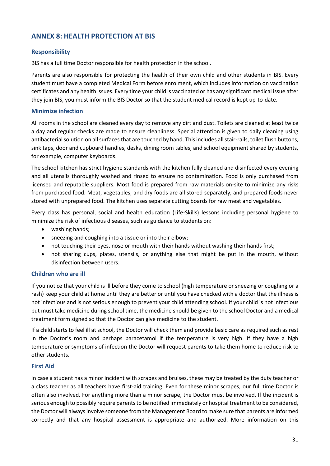## <span id="page-34-0"></span>**ANNEX 8: HEALTH PROTECTION AT BIS**

#### **Responsibility**

BIS has a full time Doctor responsible for health protection in the school.

Parents are also responsible for protecting the health of their own child and other students in BIS. Every student must have a completed Medical Form before enrolment, which includes information on vaccination certificates and any health issues. Every time your child is vaccinated or has any significant medical issue after they join BIS, you must inform the BIS Doctor so that the student medical record is kept up-to-date.

#### **Minimize infection**

All rooms in the school are cleaned every day to remove any dirt and dust. Toilets are cleaned at least twice a day and regular checks are made to ensure cleanliness. Special attention is given to daily cleaning using antibacterial solution on all surfaces that are touched by hand. This includes all stair-rails, toilet flush buttons, sink taps, door and cupboard handles, desks, dining room tables, and school equipment shared by students, for example, computer keyboards.

The school kitchen has strict hygiene standards with the kitchen fully cleaned and disinfected every evening and all utensils thoroughly washed and rinsed to ensure no contamination. Food is only purchased from licensed and reputable suppliers. Most food is prepared from raw materials on-site to minimize any risks from purchased food. Meat, vegetables, and dry foods are all stored separately, and prepared foods never stored with unprepared food. The kitchen uses separate cutting boards for raw meat and vegetables.

Every class has personal, social and health education (Life-Skills) lessons including personal hygiene to minimize the risk of infectious diseases, such as guidance to students on:

- washing hands;
- sneezing and coughing into a tissue or into their elbow;
- not touching their eyes, nose or mouth with their hands without washing their hands first;
- not sharing cups, plates, utensils, or anything else that might be put in the mouth, without disinfection between users.

#### **Children who are ill**

If you notice that your child is ill before they come to school (high temperature or sneezing or coughing or a rash) keep your child at home until they are better or until you have checked with a doctor that the illness is not infectious and is not serious enough to prevent your child attending school. If your child is not infectious but must take medicine during school time, the medicine should be given to the school Doctor and a medical treatment form signed so that the Doctor can give medicine to the student.

If a child starts to feel ill at school, the Doctor will check them and provide basic care as required such as rest in the Doctor's room and perhaps paracetamol if the temperature is very high. If they have a high temperature or symptoms of infection the Doctor will request parents to take them home to reduce risk to other students.

#### **First Aid**

In case a student has a minor incident with scrapes and bruises, these may be treated by the duty teacher or a class teacher as all teachers have first-aid training. Even for these minor scrapes, our full time Doctor is often also involved. For anything more than a minor scrape, the Doctor must be involved. If the incident is serious enough to possibly require parents to be notified immediately or hospital treatment to be considered, the Doctor will always involve someone from the Management Board to make sure that parents are informed correctly and that any hospital assessment is appropriate and authorized. More information on this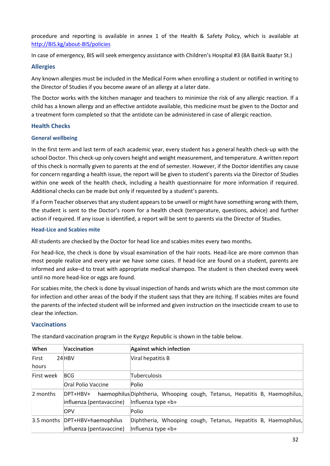procedure and reporting is available in annex 1 of the Health & Safety Policy, which is available at [http://BIS.kg/about-BIS/policies](http://esca.kg/about-esca/policies)

In case of emergency, BIS will seek emergency assistance with Children's Hospital #3 (8A Baitik Baatyr St.)

#### **Allergies**

Any known allergies must be included in the Medical Form when enrolling a student or notified in writing to the Director of Studies if you become aware of an allergy at a later date.

The Doctor works with the kitchen manager and teachers to minimize the risk of any allergic reaction. If a child has a known allergy and an effective antidote available, this medicine must be given to the Doctor and a treatment form completed so that the antidote can be administered in case of allergic reaction.

#### **Health Checks**

#### **General wellbeing**

In the first term and last term of each academic year, every student has a general health check-up with the school Doctor. This check-up only covers height and weight measurement, and temperature. A written report of this check is normally given to parents at the end of semester. However, if the Doctor identifies any cause for concern regarding a health issue, the report will be given to student's parents via the Director of Studies within one week of the health check, including a health questionnaire for more information if required. Additional checks can be made but only if requested by a student's parents.

If a Form Teacher observes that any student appears to be unwell or might have something wrong with them, the student is sent to the Doctor's room for a health check (temperature, questions, advice) and further action if required. If any issue is identified, a report will be sent to parents via the Director of Studies.

#### **Head-Lice and Scabies mite**

All students are checked by the Doctor for head lice and scabies mites every two months.

For head-lice, the check is done by visual examination of the hair roots. Head-lice are more common than most people realize and every year we have some cases. If head-lice are found on a student, parents are informed and aske–d to treat with appropriate medical shampoo. The student is then checked every week until no more head-lice or eggs are found.

For scabies mite, the check is done by visual inspection of hands and wrists which are the most common site for infection and other areas of the body if the student says that they are itching. If scabies mites are found the parents of the infected student will be informed and given instruction on the insecticide cream to use to clear the infection.

#### **Vaccinations**

| When       | <b>Vaccination</b>              | <b>Against which infection</b>                                             |
|------------|---------------------------------|----------------------------------------------------------------------------|
| First      | 24 HBV                          | Viral hepatitis B                                                          |
| hours      |                                 |                                                                            |
| First week | <b>BCG</b>                      | Tuberculosis                                                               |
|            | Oral Polio Vaccine              | Polio                                                                      |
| 2 months   | DPT+HBV+                        | haemophilus Diphtheria, Whooping cough, Tetanus, Hepatitis B, Haemophilus, |
|            | influenza (pentavaccine)        | Influenza type «b»                                                         |
|            | <b>OPV</b>                      | Polio                                                                      |
|            | 3.5 months  DPT+HBV+haemophilus | Diphtheria, Whooping cough, Tetanus, Hepatitis B, Haemophilus,             |
|            | influenza (pentavaccine)        | Influenza type «b»                                                         |

The standard vaccination program in the Kyrgyz Republic is shown in the table below.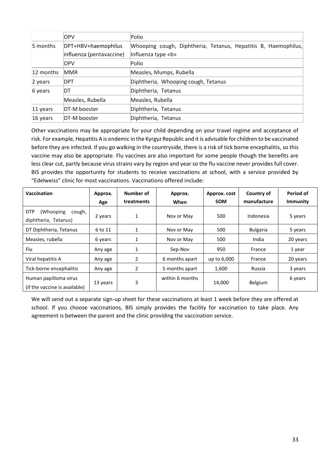|               | <b>OPV</b>               | Polio                                                          |
|---------------|--------------------------|----------------------------------------------------------------|
| 5 months      | DPT+HBV+haemophilus      | Whooping cough, Diphtheria, Tetanus, Hepatitis B, Haemophilus, |
|               | influenza (pentavaccine) | Influenza type «b»                                             |
|               | <b>OPV</b>               | Polio                                                          |
| 12 months     | <b>MMR</b>               | Measles, Mumps, Rubella                                        |
| 2 years       | DPT                      | Diphtheria, Whooping cough, Tetanus                            |
| DT<br>6 years |                          | Diphtheria, Tetanus                                            |
|               | Measles, Rubella         | Measles, Rubella                                               |
| 11 years      | DT-M booster             | Diphtheria, Tetanus                                            |
| 16 years      | DT-M booster             | Diphtheria, Tetanus                                            |

Other vaccinations may be appropriate for your child depending on your travel regime and acceptance of risk. For example, Hepatitis A is endemic in the Kyrgyz Republic and it is advisable for children to be vaccinated before they are infected. If you go walking in the countryside, there is a risk of tick borne encephalitis, so this vaccine may also be appropriate. Flu vaccines are also important for some people though the benefits are less clear cut, partly because virus strains vary by region and year so the flu vaccine never provides full cover. BIS provides the opportunity for students to receive vaccinations at school, with a service provided by "Edelweiss" clinic for most vaccinations. Vaccinations offered include:

| Vaccination                                                | Approx.  | Number of  | Approx.         | Approx. cost | Country of      | Period of |
|------------------------------------------------------------|----------|------------|-----------------|--------------|-----------------|-----------|
|                                                            | Age      | treatments | When            | <b>SOM</b>   | manufacture     | Immunity  |
| <b>DTP</b><br>(Whooping)<br>cough,<br>diphtheria, Tetanus) | 2 years  | 1          | Nov or May      | 500          | Indonesia       | 5 years   |
| DT Diphtheria, Tetanus                                     | 6 to 11  | 1          | Nov or May      | 500          | <b>Bulgaria</b> | 5 years   |
| Measles, rubella                                           | 6 years  | 1          | Nov or May      | 500          | India           | 20 years  |
| Flu                                                        | Any age  | 1          | Sep-Nov         | 950          | France          | 1 year    |
| Viral hepatitis A                                          | Any age  | 2          | 6 months apart  | up to 6,000  | France          | 20 years  |
| Tick-borne encephalitis                                    | Any age  | 2          | 5 months apart  | 1,600        | Russia          | 3 years   |
| Human papilloma virus<br>(if the vaccine is available)     | 13 years | 3          | within 6 months | 14,000       | Belgium         | 6 years   |

<span id="page-36-0"></span>We will send out a separate sign-up sheet for these vaccinations at least 1 week before they are offered at school. If you choose vaccinations, BIS simply provides the facility for vaccination to take place. Any agreement is between the parent and the clinic providing the vaccination service.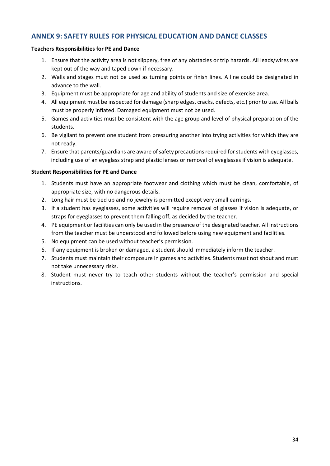## **ANNEX 9: SAFETY RULES FOR PHYSICAL EDUCATION AND DANCE CLASSES**

#### **Teachers Responsibilities for PE and Dance**

- 1. Ensure that the activity area is not slippery, free of any obstacles or trip hazards. All leads/wires are kept out of the way and taped down if necessary.
- 2. Walls and stages must not be used as turning points or finish lines. A line could be designated in advance to the wall.
- 3. Equipment must be appropriate for age and ability of students and size of exercise area.
- 4. All equipment must be inspected for damage (sharp edges, cracks, defects, etc.) prior to use. All balls must be properly inflated. Damaged equipment must not be used.
- 5. Games and activities must be consistent with the age group and level of physical preparation of the students.
- 6. Be vigilant to prevent one student from pressuring another into trying activities for which they are not ready.
- 7. Ensure that parents/guardians are aware of safety precautions required for students with eyeglasses, including use of an eyeglass strap and plastic lenses or removal of eyeglasses if vision is adequate.

#### **Student Responsibilities for PE and Dance**

- 1. Students must have an appropriate footwear and clothing which must be clean, comfortable, of appropriate size, with no dangerous details.
- 2. Long hair must be tied up and no jewelry is permitted except very small earrings.
- 3. If a student has eyeglasses, some activities will require removal of glasses if vision is adequate, or straps for eyeglasses to prevent them falling off, as decided by the teacher.
- 4. PE equipment or facilities can only be used in the presence of the designated teacher. All instructions from the teacher must be understood and followed before using new equipment and facilities.
- 5. No equipment can be used without teacher's permission.
- 6. If any equipment is broken or damaged, a student should immediately inform the teacher.
- 7. Students must maintain their composure in games and activities. Students must not shout and must not take unnecessary risks.
- 8. Student must never try to teach other students without the teacher's permission and special instructions.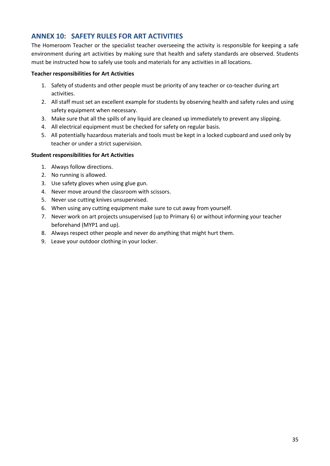## <span id="page-38-0"></span>**ANNEX 10: SAFETY RULES FOR ART ACTIVITIES**

The Homeroom Teacher or the specialist teacher overseeing the activity is responsible for keeping a safe environment during art activities by making sure that health and safety standards are observed. Students must be instructed how to safely use tools and materials for any activities in all locations.

#### **Teacher responsibilities for Art Activities**

- 1. Safety of students and other people must be priority of any teacher or co-teacher during art activities.
- 2. All staff must set an excellent example for students by observing health and safety rules and using safety equipment when necessary.
- 3. Make sure that all the spills of any liquid are cleaned up immediately to prevent any slipping.
- 4. All electrical equipment must be checked for safety on regular basis.
- 5. All potentially hazardous materials and tools must be kept in a locked cupboard and used only by teacher or under a strict supervision.

#### **Student responsibilities for Art Activities**

- 1. Always follow directions.
- 2. No running is allowed.
- 3. Use safety gloves when using glue gun.
- 4. Never move around the classroom with scissors.
- 5. Never use cutting knives unsupervised.
- 6. When using any cutting equipment make sure to cut away from yourself.
- 7. Never work on art projects unsupervised (up to Primary 6) or without informing your teacher beforehand (MYP1 and up).
- 8. Always respect other people and never do anything that might hurt them.
- 9. Leave your outdoor clothing in your locker.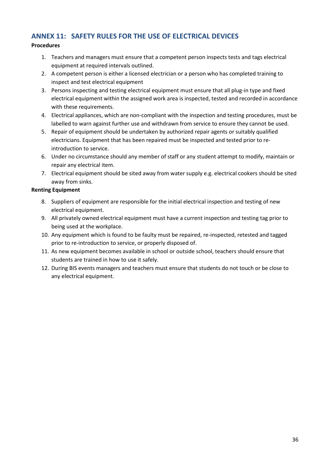## <span id="page-39-0"></span>**ANNEX 11: SAFETY RULES FOR THE USE OF ELECTRICAL DEVICES**

## **Procedures**

- 1. Teachers and managers must ensure that a competent person inspects tests and tags electrical equipment at required intervals outlined.
- 2. A competent person is either a licensed electrician or a person who has completed training to inspect and test electrical equipment
- 3. Persons inspecting and testing electrical equipment must ensure that all plug-in type and fixed electrical equipment within the assigned work area is inspected, tested and recorded in accordance with these requirements.
- 4. Electrical appliances, which are non-compliant with the inspection and testing procedures, must be labelled to warn against further use and withdrawn from service to ensure they cannot be used.
- 5. Repair of equipment should be undertaken by authorized repair agents or suitably qualified electricians. Equipment that has been repaired must be inspected and tested prior to reintroduction to service.
- 6. Under no circumstance should any member of staff or any student attempt to modify, maintain or repair any electrical item.
- 7. Electrical equipment should be sited away from water supply e.g. electrical cookers should be sited away from sinks.

#### **Renting Equipment**

- 8. Suppliers of equipment are responsible for the initial electrical inspection and testing of new electrical equipment.
- 9. All privately owned electrical equipment must have a current inspection and testing tag prior to being used at the workplace.
- 10. Any equipment which is found to be faulty must be repaired, re-inspected, retested and tagged prior to re-introduction to service, or properly disposed of.
- 11. As new equipment becomes available in school or outside school, teachers should ensure that students are trained in how to use it safely.
- 12. During BIS events managers and teachers must ensure that students do not touch or be close to any electrical equipment.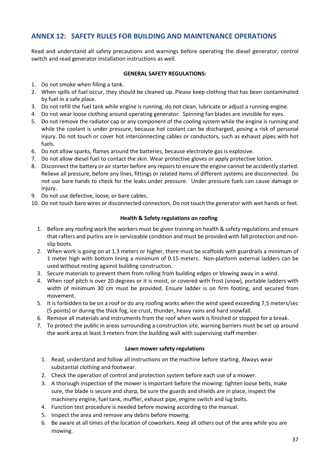## <span id="page-40-0"></span>**ANNEX 12: SAFETY RULES FOR BUILDING AND MAINTENANCE OPERATIONS**

Read and understand all safety precautions and warnings before operating the diesel generator, control switch and read generator installation instructions as well.

#### **GENERAL SAFETY REGULATIONS:**

- 1. Do not smoke when filling a tank.
- 2. When spills of fuel occur, they should be cleaned up. Please keep clothing that has been contaminated by fuel in a safe place.
- 3. Do not refill the fuel tank while engine is running, do not clean, lubricate or adjust a running engine.
- 4. Do not wear loose clothing around operating generator. Spinning fan blades are invisible for eyes.
- 5. Do not remove the radiator cap or any component of the cooling system while the engine is running and while the coolant is under pressure, because hot coolant can be discharged, posing a risk of personal injury. Do not touch or cover hot interconnecting cables or conductors, such as exhaust pipes with hot fuels.
- 6. Do not allow sparks, flames around the batteries, because electrolyte gas is explosive.
- 7. Do not allow diesel fuel to contact the skin. Wear protective gloves or apply protective lotion.
- 8. Disconnect the battery or air starter before any repairsto ensure the engine cannot be accidently started. Relieve all pressure, before any lines, fittings or related items of different systems are disconnected. Do not use bare hands to check for the leaks under pressure. Under pressure fuels can cause damage or injury.
- 9. Do not use defective, loose, or bare cables.
- 10. Do not touch bare wires or disconnected connectors. Do not touch the generator with wet hands or feet.

#### **Health & Safety regulations on roofing**

- 1. Before any roofing work the workers must be given training on health & safety regulations and ensure that rafters and purlins are in serviceable condition and must be provided with fall protection and nonslip boots.
- 2. When work is going on at 1.3 meters or higher, there must be scaffolds with guardrails a minimum of 1 meter high with bottom lining a minimum of 0.15 meters. Non-platform external ladders can be used without resting against building construction.
- 3. Secure materials to prevent them from rolling from building edges or blowing away in a wind.
- 4. When roof pitch is over 20 degrees or it is moist, or covered with frost (snow), portable ladders with width of minimum 30 cm must be provided. Ensure ladder is on firm footing, and secured from movement.
- 5. It is forbidden to be on a roof or do any roofing works when the wind speed exceeding 7,5 meters/sec (5 points) or during the thick fog, ice crust, thunder, heavy rains and hard snowfall.
- 6. Remove all materials and instruments from the roof when work is finished or stopped for a break.
- 7. To protect the public in areas surrounding a construction site, warning barriers must be set up around the work area at least 3 meters from the building wall with supervising staff member.

#### **Lawn mower safety regulations**

- 1. Read, understand and follow all instructions on the machine before starting. Always wear substantial clothing and footwear.
- 2. Check the operation of control and protection system before each use of a mower.
- 3. A thorough inspection of the mower is important before the mowing: tighten loose belts, make sure, the blade is secure and sharp, be sure the guards and shields are in place, inspect the machinery engine, fuel tank, muffler, exhaust pipe, engine switch and lug bolts.
- 4. Function test procedure is needed before mowing according to the manual.
- 5. Inspect the area and remove any debris before mowing.
- 6. Be aware at all times of the location of coworkers. Keep all others out of the area while you are mowing.